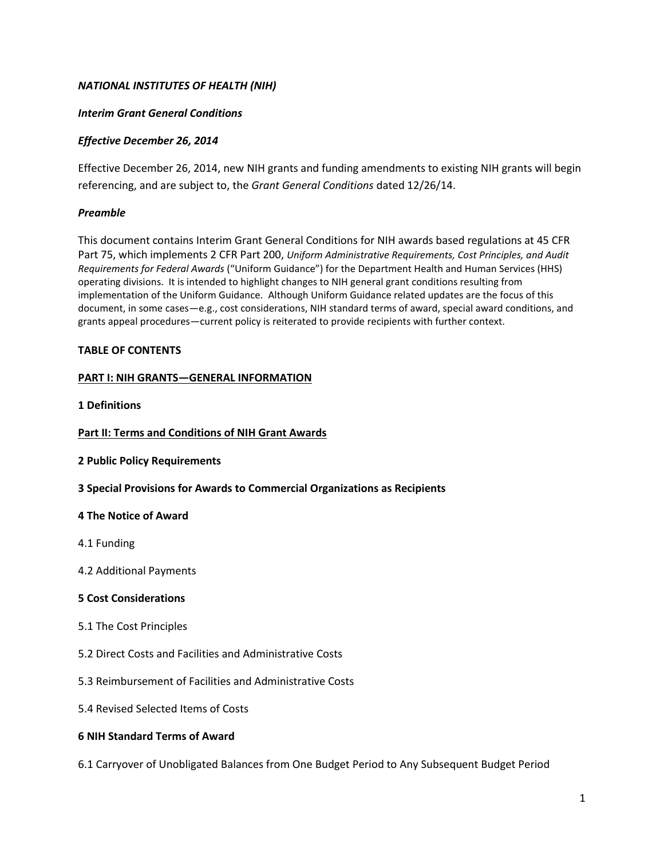## *NATIONAL INSTITUTES OF HEALTH (NIH)*

### *Interim Grant General Conditions*

## *Effective December 26, 2014*

Effective December 26, 2014, new NIH grants and funding amendments to existing NIH grants will begin referencing, and are subject to, the *Grant General Conditions* dated 12/26/14.

#### *Preamble*

This document contains Interim Grant General Conditions for NIH awards based regulations at 45 CFR Part 75, which implements 2 CFR Part 200, *Uniform Administrative Requirements, Cost Principles, and Audit Requirements for Federal Awards* ("Uniform Guidance") for the Department Health and Human Services (HHS) operating divisions. It is intended to highlight changes to NIH general grant conditions resulting from implementation of the Uniform Guidance. Although Uniform Guidance related updates are the focus of this document, in some cases—e.g., cost considerations, NIH standard terms of award, special award conditions, and grants appeal procedures—current policy is reiterated to provide recipients with further context.

#### **TABLE OF CONTENTS**

#### **PART I: NIH GRANTS—GENERAL INFORMATION**

**1 Definitions**

#### **Part II: Terms and Conditions of NIH Grant Awards**

#### **2 Public Policy Requirements**

**3 Special Provisions for Awards to Commercial Organizations as Recipients**

#### **4 The Notice of Award**

- 4.1 Funding
- 4.2 Additional Payments

#### **5 Cost Considerations**

- 5.1 The Cost Principles
- 5.2 Direct Costs and Facilities and Administrative Costs
- 5.3 Reimbursement of Facilities and Administrative Costs
- 5.4 Revised Selected Items of Costs

#### **6 NIH Standard Terms of Award**

6.1 Carryover of Unobligated Balances from One Budget Period to Any Subsequent Budget Period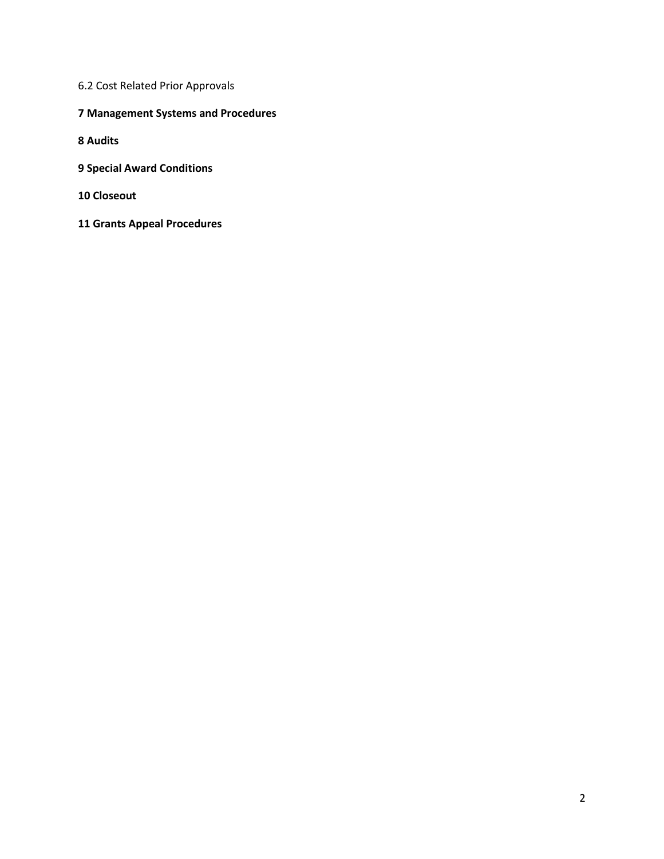- 6.2 Cost Related Prior Approvals
- **Management Systems and Procedures**
- **Audits**
- **Special Award Conditions**
- **Closeout**
- **Grants Appeal Procedures**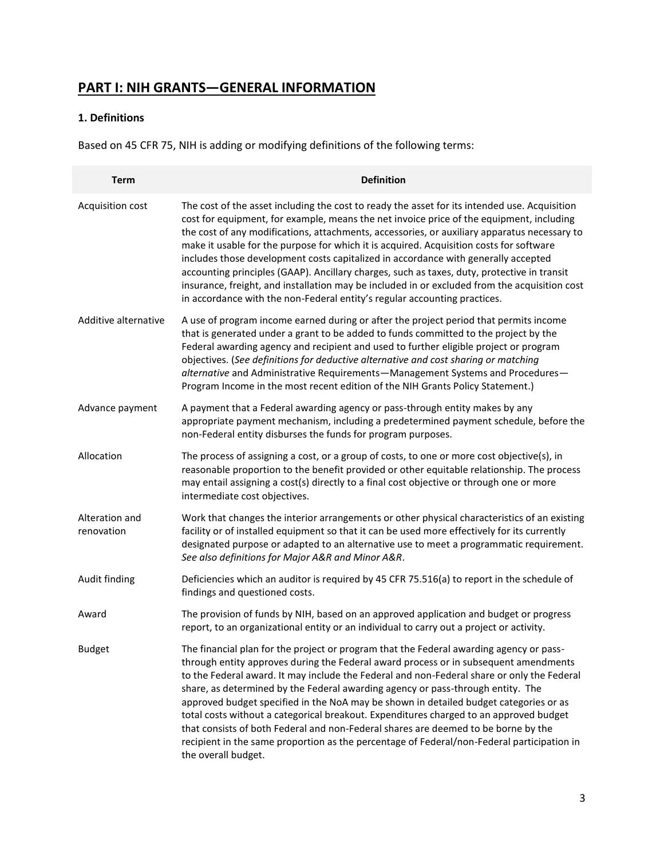# **PART I: NIH GRANTS—GENERAL INFORMATION**

## **1. Definitions**

Based on 45 CFR 75, NIH is adding or modifying definitions of the following terms:

| <b>Term</b>                  | <b>Definition</b>                                                                                                                                                                                                                                                                                                                                                                                                                                                                                                                                                                                                                                                                                                                                              |
|------------------------------|----------------------------------------------------------------------------------------------------------------------------------------------------------------------------------------------------------------------------------------------------------------------------------------------------------------------------------------------------------------------------------------------------------------------------------------------------------------------------------------------------------------------------------------------------------------------------------------------------------------------------------------------------------------------------------------------------------------------------------------------------------------|
| Acquisition cost             | The cost of the asset including the cost to ready the asset for its intended use. Acquisition<br>cost for equipment, for example, means the net invoice price of the equipment, including<br>the cost of any modifications, attachments, accessories, or auxiliary apparatus necessary to<br>make it usable for the purpose for which it is acquired. Acquisition costs for software<br>includes those development costs capitalized in accordance with generally accepted<br>accounting principles (GAAP). Ancillary charges, such as taxes, duty, protective in transit<br>insurance, freight, and installation may be included in or excluded from the acquisition cost<br>in accordance with the non-Federal entity's regular accounting practices.        |
| Additive alternative         | A use of program income earned during or after the project period that permits income<br>that is generated under a grant to be added to funds committed to the project by the<br>Federal awarding agency and recipient and used to further eligible project or program<br>objectives. (See definitions for deductive alternative and cost sharing or matching<br>alternative and Administrative Requirements-Management Systems and Procedures-<br>Program Income in the most recent edition of the NIH Grants Policy Statement.)                                                                                                                                                                                                                              |
| Advance payment              | A payment that a Federal awarding agency or pass-through entity makes by any<br>appropriate payment mechanism, including a predetermined payment schedule, before the<br>non-Federal entity disburses the funds for program purposes.                                                                                                                                                                                                                                                                                                                                                                                                                                                                                                                          |
| Allocation                   | The process of assigning a cost, or a group of costs, to one or more cost objective(s), in<br>reasonable proportion to the benefit provided or other equitable relationship. The process<br>may entail assigning a cost(s) directly to a final cost objective or through one or more<br>intermediate cost objectives.                                                                                                                                                                                                                                                                                                                                                                                                                                          |
| Alteration and<br>renovation | Work that changes the interior arrangements or other physical characteristics of an existing<br>facility or of installed equipment so that it can be used more effectively for its currently<br>designated purpose or adapted to an alternative use to meet a programmatic requirement.<br>See also definitions for Major A&R and Minor A&R.                                                                                                                                                                                                                                                                                                                                                                                                                   |
| Audit finding                | Deficiencies which an auditor is required by 45 CFR 75.516(a) to report in the schedule of<br>findings and questioned costs.                                                                                                                                                                                                                                                                                                                                                                                                                                                                                                                                                                                                                                   |
| Award                        | The provision of funds by NIH, based on an approved application and budget or progress<br>report, to an organizational entity or an individual to carry out a project or activity.                                                                                                                                                                                                                                                                                                                                                                                                                                                                                                                                                                             |
| <b>Budget</b>                | The financial plan for the project or program that the Federal awarding agency or pass-<br>through entity approves during the Federal award process or in subsequent amendments<br>to the Federal award. It may include the Federal and non-Federal share or only the Federal<br>share, as determined by the Federal awarding agency or pass-through entity. The<br>approved budget specified in the NoA may be shown in detailed budget categories or as<br>total costs without a categorical breakout. Expenditures charged to an approved budget<br>that consists of both Federal and non-Federal shares are deemed to be borne by the<br>recipient in the same proportion as the percentage of Federal/non-Federal participation in<br>the overall budget. |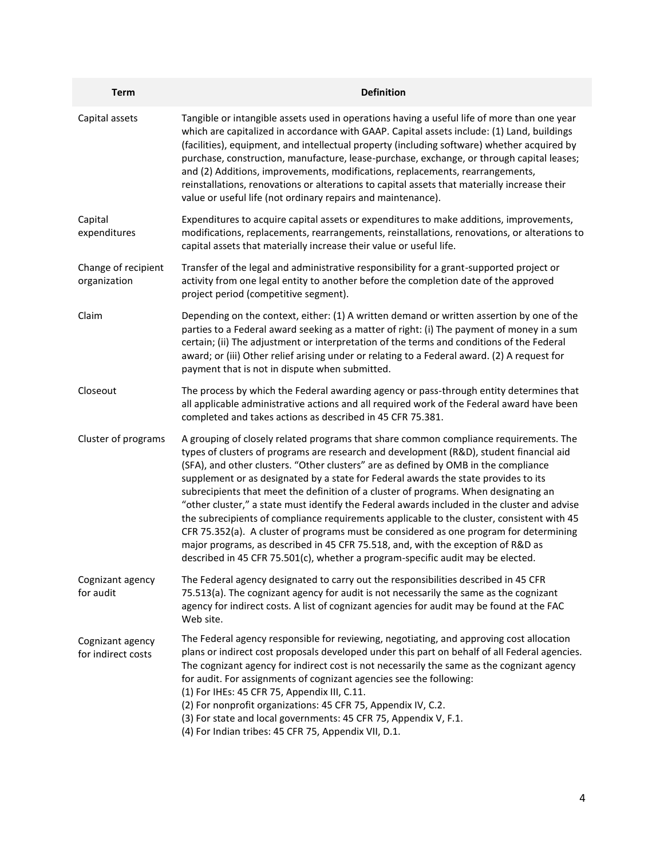| <b>Term</b>                            | <b>Definition</b>                                                                                                                                                                                                                                                                                                                                                                                                                                                                                                                                                                                                                                                                                                                                                                                                                                                                                                     |
|----------------------------------------|-----------------------------------------------------------------------------------------------------------------------------------------------------------------------------------------------------------------------------------------------------------------------------------------------------------------------------------------------------------------------------------------------------------------------------------------------------------------------------------------------------------------------------------------------------------------------------------------------------------------------------------------------------------------------------------------------------------------------------------------------------------------------------------------------------------------------------------------------------------------------------------------------------------------------|
| Capital assets                         | Tangible or intangible assets used in operations having a useful life of more than one year<br>which are capitalized in accordance with GAAP. Capital assets include: (1) Land, buildings<br>(facilities), equipment, and intellectual property (including software) whether acquired by<br>purchase, construction, manufacture, lease-purchase, exchange, or through capital leases;<br>and (2) Additions, improvements, modifications, replacements, rearrangements,<br>reinstallations, renovations or alterations to capital assets that materially increase their<br>value or useful life (not ordinary repairs and maintenance).                                                                                                                                                                                                                                                                                |
| Capital<br>expenditures                | Expenditures to acquire capital assets or expenditures to make additions, improvements,<br>modifications, replacements, rearrangements, reinstallations, renovations, or alterations to<br>capital assets that materially increase their value or useful life.                                                                                                                                                                                                                                                                                                                                                                                                                                                                                                                                                                                                                                                        |
| Change of recipient<br>organization    | Transfer of the legal and administrative responsibility for a grant-supported project or<br>activity from one legal entity to another before the completion date of the approved<br>project period (competitive segment).                                                                                                                                                                                                                                                                                                                                                                                                                                                                                                                                                                                                                                                                                             |
| Claim                                  | Depending on the context, either: (1) A written demand or written assertion by one of the<br>parties to a Federal award seeking as a matter of right: (i) The payment of money in a sum<br>certain; (ii) The adjustment or interpretation of the terms and conditions of the Federal<br>award; or (iii) Other relief arising under or relating to a Federal award. (2) A request for<br>payment that is not in dispute when submitted.                                                                                                                                                                                                                                                                                                                                                                                                                                                                                |
| Closeout                               | The process by which the Federal awarding agency or pass-through entity determines that<br>all applicable administrative actions and all required work of the Federal award have been<br>completed and takes actions as described in 45 CFR 75.381.                                                                                                                                                                                                                                                                                                                                                                                                                                                                                                                                                                                                                                                                   |
| Cluster of programs                    | A grouping of closely related programs that share common compliance requirements. The<br>types of clusters of programs are research and development (R&D), student financial aid<br>(SFA), and other clusters. "Other clusters" are as defined by OMB in the compliance<br>supplement or as designated by a state for Federal awards the state provides to its<br>subrecipients that meet the definition of a cluster of programs. When designating an<br>"other cluster," a state must identify the Federal awards included in the cluster and advise<br>the subrecipients of compliance requirements applicable to the cluster, consistent with 45<br>CFR 75.352(a). A cluster of programs must be considered as one program for determining<br>major programs, as described in 45 CFR 75.518, and, with the exception of R&D as<br>described in 45 CFR 75.501(c), whether a program-specific audit may be elected. |
| Cognizant agency<br>for audit          | The Federal agency designated to carry out the responsibilities described in 45 CFR<br>75.513(a). The cognizant agency for audit is not necessarily the same as the cognizant<br>agency for indirect costs. A list of cognizant agencies for audit may be found at the FAC<br>Web site.                                                                                                                                                                                                                                                                                                                                                                                                                                                                                                                                                                                                                               |
| Cognizant agency<br>for indirect costs | The Federal agency responsible for reviewing, negotiating, and approving cost allocation<br>plans or indirect cost proposals developed under this part on behalf of all Federal agencies.<br>The cognizant agency for indirect cost is not necessarily the same as the cognizant agency<br>for audit. For assignments of cognizant agencies see the following:<br>(1) For IHEs: 45 CFR 75, Appendix III, C.11.<br>(2) For nonprofit organizations: 45 CFR 75, Appendix IV, C.2.<br>(3) For state and local governments: 45 CFR 75, Appendix V, F.1.<br>(4) For Indian tribes: 45 CFR 75, Appendix VII, D.1.                                                                                                                                                                                                                                                                                                           |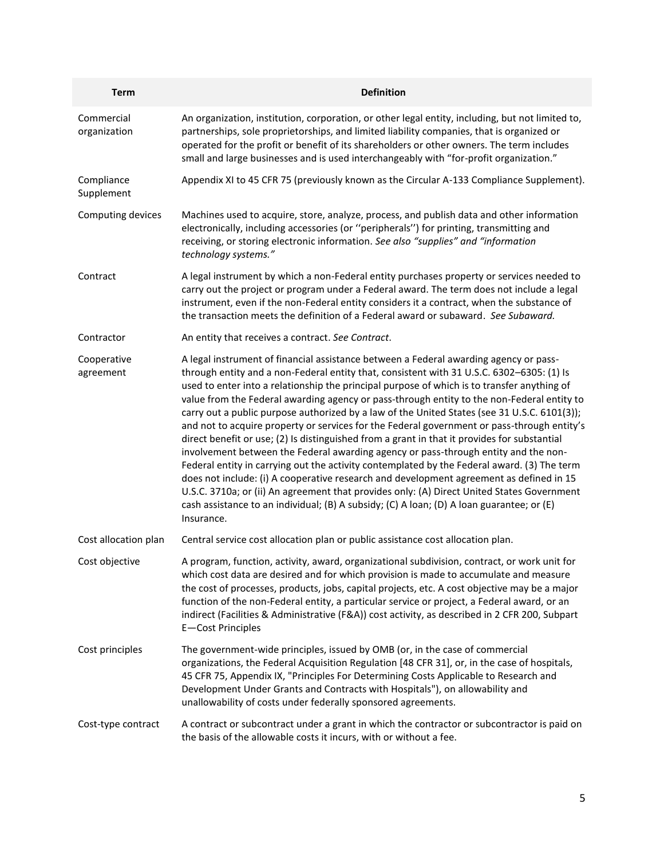| <b>Term</b>                | <b>Definition</b>                                                                                                                                                                                                                                                                                                                                                                                                                                                                                                                                                                                                                                                                                                                                                                                                                                                                                                                                                                                                                                                                                                                                                        |
|----------------------------|--------------------------------------------------------------------------------------------------------------------------------------------------------------------------------------------------------------------------------------------------------------------------------------------------------------------------------------------------------------------------------------------------------------------------------------------------------------------------------------------------------------------------------------------------------------------------------------------------------------------------------------------------------------------------------------------------------------------------------------------------------------------------------------------------------------------------------------------------------------------------------------------------------------------------------------------------------------------------------------------------------------------------------------------------------------------------------------------------------------------------------------------------------------------------|
| Commercial<br>organization | An organization, institution, corporation, or other legal entity, including, but not limited to,<br>partnerships, sole proprietorships, and limited liability companies, that is organized or<br>operated for the profit or benefit of its shareholders or other owners. The term includes<br>small and large businesses and is used interchangeably with "for-profit organization."                                                                                                                                                                                                                                                                                                                                                                                                                                                                                                                                                                                                                                                                                                                                                                                     |
| Compliance<br>Supplement   | Appendix XI to 45 CFR 75 (previously known as the Circular A-133 Compliance Supplement).                                                                                                                                                                                                                                                                                                                                                                                                                                                                                                                                                                                                                                                                                                                                                                                                                                                                                                                                                                                                                                                                                 |
| Computing devices          | Machines used to acquire, store, analyze, process, and publish data and other information<br>electronically, including accessories (or "peripherals") for printing, transmitting and<br>receiving, or storing electronic information. See also "supplies" and "information<br>technology systems."                                                                                                                                                                                                                                                                                                                                                                                                                                                                                                                                                                                                                                                                                                                                                                                                                                                                       |
| Contract                   | A legal instrument by which a non-Federal entity purchases property or services needed to<br>carry out the project or program under a Federal award. The term does not include a legal<br>instrument, even if the non-Federal entity considers it a contract, when the substance of<br>the transaction meets the definition of a Federal award or subaward. See Subaward.                                                                                                                                                                                                                                                                                                                                                                                                                                                                                                                                                                                                                                                                                                                                                                                                |
| Contractor                 | An entity that receives a contract. See Contract.                                                                                                                                                                                                                                                                                                                                                                                                                                                                                                                                                                                                                                                                                                                                                                                                                                                                                                                                                                                                                                                                                                                        |
| Cooperative<br>agreement   | A legal instrument of financial assistance between a Federal awarding agency or pass-<br>through entity and a non-Federal entity that, consistent with 31 U.S.C. 6302-6305: (1) Is<br>used to enter into a relationship the principal purpose of which is to transfer anything of<br>value from the Federal awarding agency or pass-through entity to the non-Federal entity to<br>carry out a public purpose authorized by a law of the United States (see 31 U.S.C. 6101(3));<br>and not to acquire property or services for the Federal government or pass-through entity's<br>direct benefit or use; (2) Is distinguished from a grant in that it provides for substantial<br>involvement between the Federal awarding agency or pass-through entity and the non-<br>Federal entity in carrying out the activity contemplated by the Federal award. (3) The term<br>does not include: (i) A cooperative research and development agreement as defined in 15<br>U.S.C. 3710a; or (ii) An agreement that provides only: (A) Direct United States Government<br>cash assistance to an individual; (B) A subsidy; (C) A loan; (D) A loan guarantee; or (E)<br>Insurance. |
| Cost allocation plan       | Central service cost allocation plan or public assistance cost allocation plan.                                                                                                                                                                                                                                                                                                                                                                                                                                                                                                                                                                                                                                                                                                                                                                                                                                                                                                                                                                                                                                                                                          |
| Cost objective             | A program, function, activity, award, organizational subdivision, contract, or work unit for<br>which cost data are desired and for which provision is made to accumulate and measure<br>the cost of processes, products, jobs, capital projects, etc. A cost objective may be a major<br>function of the non-Federal entity, a particular service or project, a Federal award, or an<br>indirect (Facilities & Administrative (F&A)) cost activity, as described in 2 CFR 200, Subpart<br>E-Cost Principles                                                                                                                                                                                                                                                                                                                                                                                                                                                                                                                                                                                                                                                             |
| Cost principles            | The government-wide principles, issued by OMB (or, in the case of commercial<br>organizations, the Federal Acquisition Regulation [48 CFR 31], or, in the case of hospitals,<br>45 CFR 75, Appendix IX, "Principles For Determining Costs Applicable to Research and<br>Development Under Grants and Contracts with Hospitals"), on allowability and<br>unallowability of costs under federally sponsored agreements.                                                                                                                                                                                                                                                                                                                                                                                                                                                                                                                                                                                                                                                                                                                                                    |
| Cost-type contract         | A contract or subcontract under a grant in which the contractor or subcontractor is paid on<br>the basis of the allowable costs it incurs, with or without a fee.                                                                                                                                                                                                                                                                                                                                                                                                                                                                                                                                                                                                                                                                                                                                                                                                                                                                                                                                                                                                        |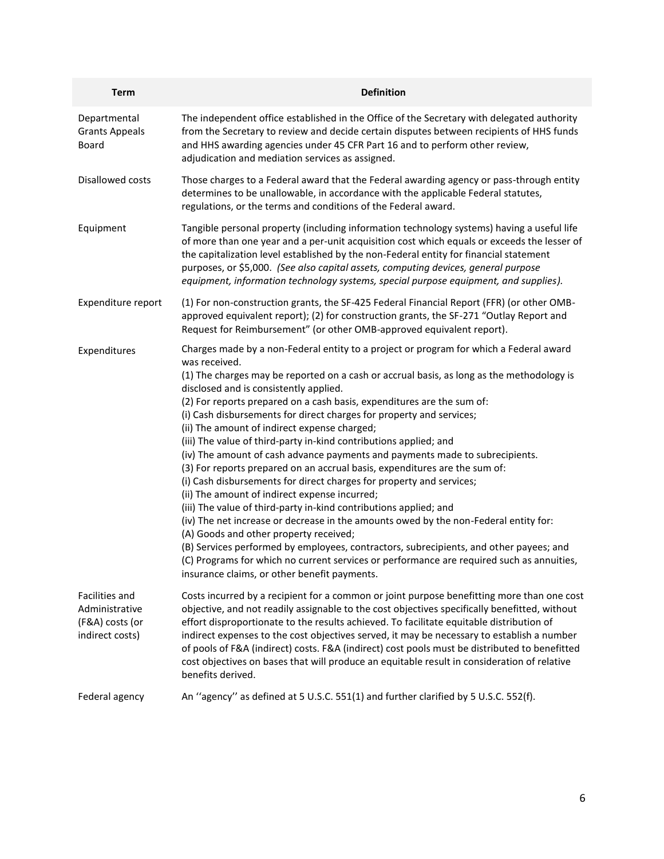| <b>Term</b>                                                            | <b>Definition</b>                                                                                                                                                                                                                                                                                                                                                                                                                                                                                                                                                                                                                                                                                                                                                                                                                                                                                                                                                                                                                                                                                                                                                                                                                                          |
|------------------------------------------------------------------------|------------------------------------------------------------------------------------------------------------------------------------------------------------------------------------------------------------------------------------------------------------------------------------------------------------------------------------------------------------------------------------------------------------------------------------------------------------------------------------------------------------------------------------------------------------------------------------------------------------------------------------------------------------------------------------------------------------------------------------------------------------------------------------------------------------------------------------------------------------------------------------------------------------------------------------------------------------------------------------------------------------------------------------------------------------------------------------------------------------------------------------------------------------------------------------------------------------------------------------------------------------|
| Departmental<br><b>Grants Appeals</b><br>Board                         | The independent office established in the Office of the Secretary with delegated authority<br>from the Secretary to review and decide certain disputes between recipients of HHS funds<br>and HHS awarding agencies under 45 CFR Part 16 and to perform other review,<br>adjudication and mediation services as assigned.                                                                                                                                                                                                                                                                                                                                                                                                                                                                                                                                                                                                                                                                                                                                                                                                                                                                                                                                  |
| Disallowed costs                                                       | Those charges to a Federal award that the Federal awarding agency or pass-through entity<br>determines to be unallowable, in accordance with the applicable Federal statutes,<br>regulations, or the terms and conditions of the Federal award.                                                                                                                                                                                                                                                                                                                                                                                                                                                                                                                                                                                                                                                                                                                                                                                                                                                                                                                                                                                                            |
| Equipment                                                              | Tangible personal property (including information technology systems) having a useful life<br>of more than one year and a per-unit acquisition cost which equals or exceeds the lesser of<br>the capitalization level established by the non-Federal entity for financial statement<br>purposes, or \$5,000. (See also capital assets, computing devices, general purpose<br>equipment, information technology systems, special purpose equipment, and supplies).                                                                                                                                                                                                                                                                                                                                                                                                                                                                                                                                                                                                                                                                                                                                                                                          |
| Expenditure report                                                     | (1) For non-construction grants, the SF-425 Federal Financial Report (FFR) (or other OMB-<br>approved equivalent report); (2) for construction grants, the SF-271 "Outlay Report and<br>Request for Reimbursement" (or other OMB-approved equivalent report).                                                                                                                                                                                                                                                                                                                                                                                                                                                                                                                                                                                                                                                                                                                                                                                                                                                                                                                                                                                              |
| Expenditures                                                           | Charges made by a non-Federal entity to a project or program for which a Federal award<br>was received.<br>(1) The charges may be reported on a cash or accrual basis, as long as the methodology is<br>disclosed and is consistently applied.<br>(2) For reports prepared on a cash basis, expenditures are the sum of:<br>(i) Cash disbursements for direct charges for property and services;<br>(ii) The amount of indirect expense charged;<br>(iii) The value of third-party in-kind contributions applied; and<br>(iv) The amount of cash advance payments and payments made to subrecipients.<br>(3) For reports prepared on an accrual basis, expenditures are the sum of:<br>(i) Cash disbursements for direct charges for property and services;<br>(ii) The amount of indirect expense incurred;<br>(iii) The value of third-party in-kind contributions applied; and<br>(iv) The net increase or decrease in the amounts owed by the non-Federal entity for:<br>(A) Goods and other property received;<br>(B) Services performed by employees, contractors, subrecipients, and other payees; and<br>(C) Programs for which no current services or performance are required such as annuities,<br>insurance claims, or other benefit payments. |
| Facilities and<br>Administrative<br>(F&A) costs (or<br>indirect costs) | Costs incurred by a recipient for a common or joint purpose benefitting more than one cost<br>objective, and not readily assignable to the cost objectives specifically benefitted, without<br>effort disproportionate to the results achieved. To facilitate equitable distribution of<br>indirect expenses to the cost objectives served, it may be necessary to establish a number<br>of pools of F&A (indirect) costs. F&A (indirect) cost pools must be distributed to benefitted<br>cost objectives on bases that will produce an equitable result in consideration of relative<br>benefits derived.                                                                                                                                                                                                                                                                                                                                                                                                                                                                                                                                                                                                                                                 |
| Federal agency                                                         | An "agency" as defined at 5 U.S.C. 551(1) and further clarified by 5 U.S.C. 552(f).                                                                                                                                                                                                                                                                                                                                                                                                                                                                                                                                                                                                                                                                                                                                                                                                                                                                                                                                                                                                                                                                                                                                                                        |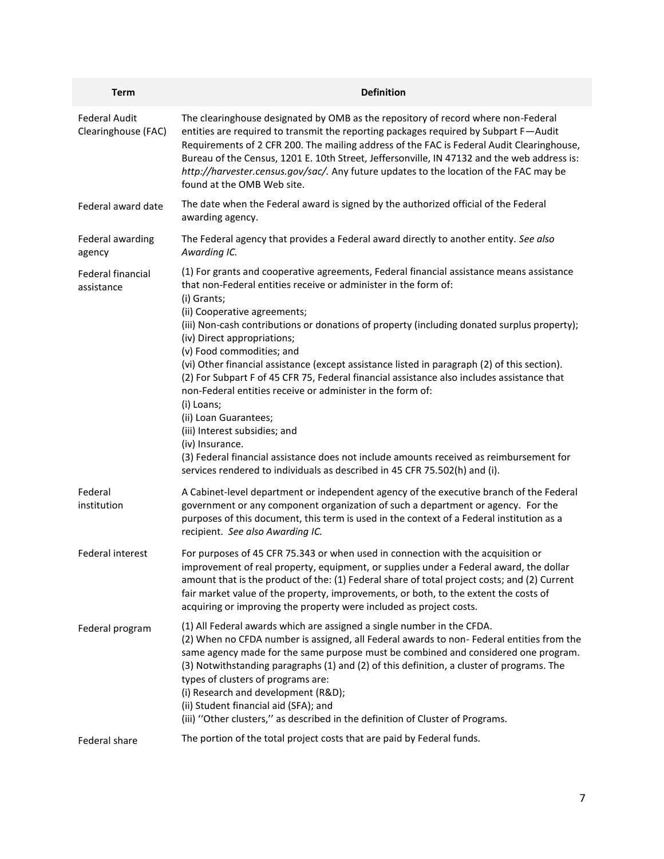| <b>Term</b>                                 | <b>Definition</b>                                                                                                                                                                                                                                                                                                                                                                                                                                                                                                                                                                                                                                                                                                                                                                                                                                                                                     |
|---------------------------------------------|-------------------------------------------------------------------------------------------------------------------------------------------------------------------------------------------------------------------------------------------------------------------------------------------------------------------------------------------------------------------------------------------------------------------------------------------------------------------------------------------------------------------------------------------------------------------------------------------------------------------------------------------------------------------------------------------------------------------------------------------------------------------------------------------------------------------------------------------------------------------------------------------------------|
| <b>Federal Audit</b><br>Clearinghouse (FAC) | The clearinghouse designated by OMB as the repository of record where non-Federal<br>entities are required to transmit the reporting packages required by Subpart F-Audit<br>Requirements of 2 CFR 200. The mailing address of the FAC is Federal Audit Clearinghouse,<br>Bureau of the Census, 1201 E. 10th Street, Jeffersonville, IN 47132 and the web address is:<br>http://harvester.census.gov/sac/. Any future updates to the location of the FAC may be<br>found at the OMB Web site.                                                                                                                                                                                                                                                                                                                                                                                                         |
| Federal award date                          | The date when the Federal award is signed by the authorized official of the Federal<br>awarding agency.                                                                                                                                                                                                                                                                                                                                                                                                                                                                                                                                                                                                                                                                                                                                                                                               |
| Federal awarding<br>agency                  | The Federal agency that provides a Federal award directly to another entity. See also<br>Awarding IC.                                                                                                                                                                                                                                                                                                                                                                                                                                                                                                                                                                                                                                                                                                                                                                                                 |
| Federal financial<br>assistance             | (1) For grants and cooperative agreements, Federal financial assistance means assistance<br>that non-Federal entities receive or administer in the form of:<br>(i) Grants;<br>(ii) Cooperative agreements;<br>(iii) Non-cash contributions or donations of property (including donated surplus property);<br>(iv) Direct appropriations;<br>(v) Food commodities; and<br>(vi) Other financial assistance (except assistance listed in paragraph (2) of this section).<br>(2) For Subpart F of 45 CFR 75, Federal financial assistance also includes assistance that<br>non-Federal entities receive or administer in the form of:<br>(i) Loans;<br>(ii) Loan Guarantees;<br>(iii) Interest subsidies; and<br>(iv) Insurance.<br>(3) Federal financial assistance does not include amounts received as reimbursement for<br>services rendered to individuals as described in 45 CFR 75.502(h) and (i). |
| Federal<br>institution                      | A Cabinet-level department or independent agency of the executive branch of the Federal<br>government or any component organization of such a department or agency. For the<br>purposes of this document, this term is used in the context of a Federal institution as a<br>recipient. See also Awarding IC.                                                                                                                                                                                                                                                                                                                                                                                                                                                                                                                                                                                          |
| Federal interest                            | For purposes of 45 CFR 75.343 or when used in connection with the acquisition or<br>improvement of real property, equipment, or supplies under a Federal award, the dollar<br>amount that is the product of the: (1) Federal share of total project costs; and (2) Current<br>fair market value of the property, improvements, or both, to the extent the costs of<br>acquiring or improving the property were included as project costs.                                                                                                                                                                                                                                                                                                                                                                                                                                                             |
| Federal program                             | (1) All Federal awards which are assigned a single number in the CFDA.<br>(2) When no CFDA number is assigned, all Federal awards to non- Federal entities from the<br>same agency made for the same purpose must be combined and considered one program.<br>(3) Notwithstanding paragraphs (1) and (2) of this definition, a cluster of programs. The<br>types of clusters of programs are:<br>(i) Research and development (R&D);<br>(ii) Student financial aid (SFA); and<br>(iii) "Other clusters," as described in the definition of Cluster of Programs.                                                                                                                                                                                                                                                                                                                                        |
| Federal share                               | The portion of the total project costs that are paid by Federal funds.                                                                                                                                                                                                                                                                                                                                                                                                                                                                                                                                                                                                                                                                                                                                                                                                                                |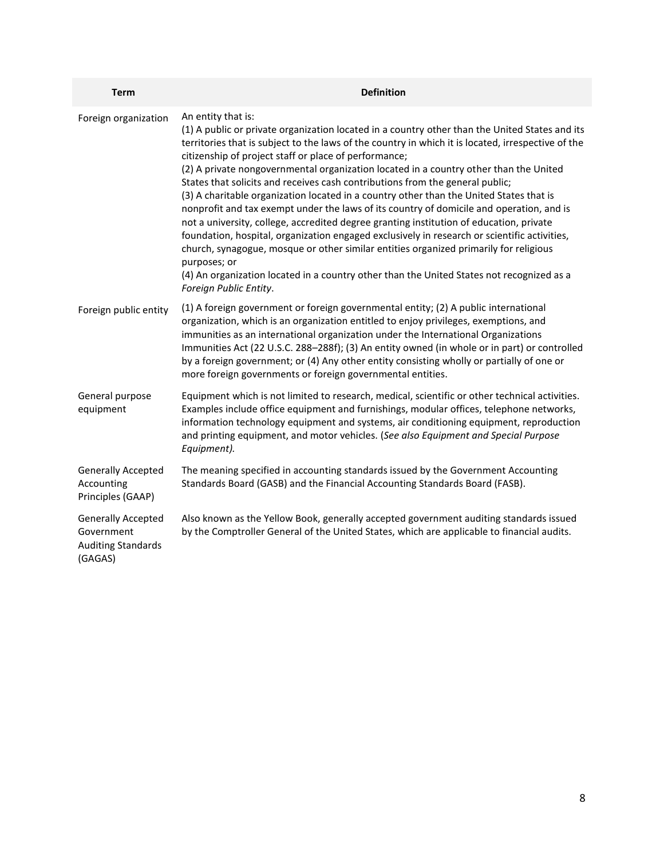| <b>Term</b>                                                                     | <b>Definition</b>                                                                                                                                                                                                                                                                                                                                                                                                                                                                                                                                                                                                                                                                                                                                                                                                                                                                                                                                                                                                                                                               |
|---------------------------------------------------------------------------------|---------------------------------------------------------------------------------------------------------------------------------------------------------------------------------------------------------------------------------------------------------------------------------------------------------------------------------------------------------------------------------------------------------------------------------------------------------------------------------------------------------------------------------------------------------------------------------------------------------------------------------------------------------------------------------------------------------------------------------------------------------------------------------------------------------------------------------------------------------------------------------------------------------------------------------------------------------------------------------------------------------------------------------------------------------------------------------|
| Foreign organization                                                            | An entity that is:<br>(1) A public or private organization located in a country other than the United States and its<br>territories that is subject to the laws of the country in which it is located, irrespective of the<br>citizenship of project staff or place of performance;<br>(2) A private nongovernmental organization located in a country other than the United<br>States that solicits and receives cash contributions from the general public;<br>(3) A charitable organization located in a country other than the United States that is<br>nonprofit and tax exempt under the laws of its country of domicile and operation, and is<br>not a university, college, accredited degree granting institution of education, private<br>foundation, hospital, organization engaged exclusively in research or scientific activities,<br>church, synagogue, mosque or other similar entities organized primarily for religious<br>purposes; or<br>(4) An organization located in a country other than the United States not recognized as a<br>Foreign Public Entity. |
| Foreign public entity                                                           | (1) A foreign government or foreign governmental entity; (2) A public international<br>organization, which is an organization entitled to enjoy privileges, exemptions, and<br>immunities as an international organization under the International Organizations<br>Immunities Act (22 U.S.C. 288-288f); (3) An entity owned (in whole or in part) or controlled<br>by a foreign government; or (4) Any other entity consisting wholly or partially of one or<br>more foreign governments or foreign governmental entities.                                                                                                                                                                                                                                                                                                                                                                                                                                                                                                                                                     |
| General purpose<br>equipment                                                    | Equipment which is not limited to research, medical, scientific or other technical activities.<br>Examples include office equipment and furnishings, modular offices, telephone networks,<br>information technology equipment and systems, air conditioning equipment, reproduction<br>and printing equipment, and motor vehicles. (See also Equipment and Special Purpose<br>Equipment).                                                                                                                                                                                                                                                                                                                                                                                                                                                                                                                                                                                                                                                                                       |
| <b>Generally Accepted</b><br>Accounting<br>Principles (GAAP)                    | The meaning specified in accounting standards issued by the Government Accounting<br>Standards Board (GASB) and the Financial Accounting Standards Board (FASB).                                                                                                                                                                                                                                                                                                                                                                                                                                                                                                                                                                                                                                                                                                                                                                                                                                                                                                                |
| <b>Generally Accepted</b><br>Government<br><b>Auditing Standards</b><br>(GAGAS) | Also known as the Yellow Book, generally accepted government auditing standards issued<br>by the Comptroller General of the United States, which are applicable to financial audits.                                                                                                                                                                                                                                                                                                                                                                                                                                                                                                                                                                                                                                                                                                                                                                                                                                                                                            |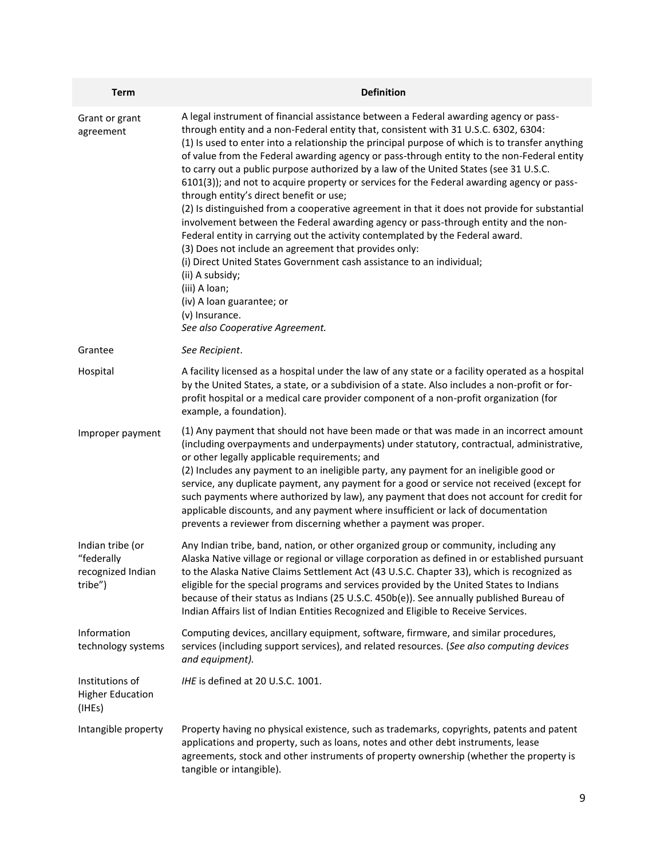| <b>Term</b>                                                    | <b>Definition</b>                                                                                                                                                                                                                                                                                                                                                                                                                                                                                                                                                                                                                                                                                                                                                                                                                                                                                                                                                                                                                                                                                                                                 |
|----------------------------------------------------------------|---------------------------------------------------------------------------------------------------------------------------------------------------------------------------------------------------------------------------------------------------------------------------------------------------------------------------------------------------------------------------------------------------------------------------------------------------------------------------------------------------------------------------------------------------------------------------------------------------------------------------------------------------------------------------------------------------------------------------------------------------------------------------------------------------------------------------------------------------------------------------------------------------------------------------------------------------------------------------------------------------------------------------------------------------------------------------------------------------------------------------------------------------|
| Grant or grant<br>agreement                                    | A legal instrument of financial assistance between a Federal awarding agency or pass-<br>through entity and a non-Federal entity that, consistent with 31 U.S.C. 6302, 6304:<br>(1) Is used to enter into a relationship the principal purpose of which is to transfer anything<br>of value from the Federal awarding agency or pass-through entity to the non-Federal entity<br>to carry out a public purpose authorized by a law of the United States (see 31 U.S.C.<br>6101(3)); and not to acquire property or services for the Federal awarding agency or pass-<br>through entity's direct benefit or use;<br>(2) Is distinguished from a cooperative agreement in that it does not provide for substantial<br>involvement between the Federal awarding agency or pass-through entity and the non-<br>Federal entity in carrying out the activity contemplated by the Federal award.<br>(3) Does not include an agreement that provides only:<br>(i) Direct United States Government cash assistance to an individual;<br>(ii) A subsidy;<br>(iii) A loan;<br>(iv) A loan guarantee; or<br>(v) Insurance.<br>See also Cooperative Agreement. |
| Grantee                                                        | See Recipient.                                                                                                                                                                                                                                                                                                                                                                                                                                                                                                                                                                                                                                                                                                                                                                                                                                                                                                                                                                                                                                                                                                                                    |
| Hospital                                                       | A facility licensed as a hospital under the law of any state or a facility operated as a hospital<br>by the United States, a state, or a subdivision of a state. Also includes a non-profit or for-<br>profit hospital or a medical care provider component of a non-profit organization (for<br>example, a foundation).                                                                                                                                                                                                                                                                                                                                                                                                                                                                                                                                                                                                                                                                                                                                                                                                                          |
| Improper payment                                               | (1) Any payment that should not have been made or that was made in an incorrect amount<br>(including overpayments and underpayments) under statutory, contractual, administrative,<br>or other legally applicable requirements; and<br>(2) Includes any payment to an ineligible party, any payment for an ineligible good or<br>service, any duplicate payment, any payment for a good or service not received (except for<br>such payments where authorized by law), any payment that does not account for credit for<br>applicable discounts, and any payment where insufficient or lack of documentation<br>prevents a reviewer from discerning whether a payment was proper.                                                                                                                                                                                                                                                                                                                                                                                                                                                                 |
| Indian tribe (or<br>"federally<br>recognized Indian<br>tribe") | Any Indian tribe, band, nation, or other organized group or community, including any<br>Alaska Native village or regional or village corporation as defined in or established pursuant<br>to the Alaska Native Claims Settlement Act (43 U.S.C. Chapter 33), which is recognized as<br>eligible for the special programs and services provided by the United States to Indians<br>because of their status as Indians (25 U.S.C. 450b(e)). See annually published Bureau of<br>Indian Affairs list of Indian Entities Recognized and Eligible to Receive Services.                                                                                                                                                                                                                                                                                                                                                                                                                                                                                                                                                                                 |
| Information<br>technology systems                              | Computing devices, ancillary equipment, software, firmware, and similar procedures,<br>services (including support services), and related resources. (See also computing devices<br>and equipment).                                                                                                                                                                                                                                                                                                                                                                                                                                                                                                                                                                                                                                                                                                                                                                                                                                                                                                                                               |
| Institutions of<br><b>Higher Education</b><br>(IHEs)           | IHE is defined at 20 U.S.C. 1001.                                                                                                                                                                                                                                                                                                                                                                                                                                                                                                                                                                                                                                                                                                                                                                                                                                                                                                                                                                                                                                                                                                                 |
| Intangible property                                            | Property having no physical existence, such as trademarks, copyrights, patents and patent<br>applications and property, such as loans, notes and other debt instruments, lease<br>agreements, stock and other instruments of property ownership (whether the property is<br>tangible or intangible).                                                                                                                                                                                                                                                                                                                                                                                                                                                                                                                                                                                                                                                                                                                                                                                                                                              |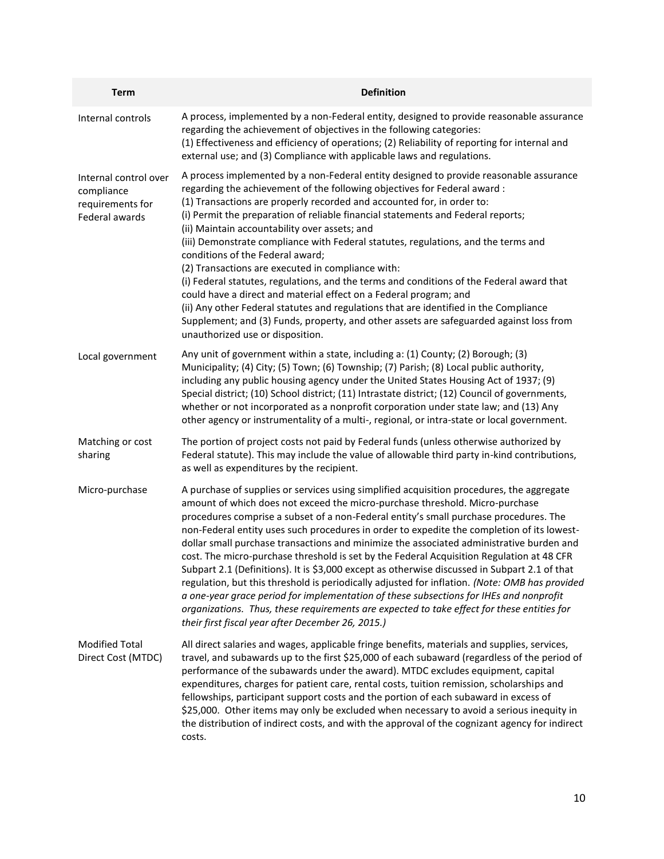| <b>Term</b>                                                               | <b>Definition</b>                                                                                                                                                                                                                                                                                                                                                                                                                                                                                                                                                                                                                                                                                                                                                                                                                                                                                                                                                                                         |
|---------------------------------------------------------------------------|-----------------------------------------------------------------------------------------------------------------------------------------------------------------------------------------------------------------------------------------------------------------------------------------------------------------------------------------------------------------------------------------------------------------------------------------------------------------------------------------------------------------------------------------------------------------------------------------------------------------------------------------------------------------------------------------------------------------------------------------------------------------------------------------------------------------------------------------------------------------------------------------------------------------------------------------------------------------------------------------------------------|
| Internal controls                                                         | A process, implemented by a non-Federal entity, designed to provide reasonable assurance<br>regarding the achievement of objectives in the following categories:<br>(1) Effectiveness and efficiency of operations; (2) Reliability of reporting for internal and<br>external use; and (3) Compliance with applicable laws and regulations.                                                                                                                                                                                                                                                                                                                                                                                                                                                                                                                                                                                                                                                               |
| Internal control over<br>compliance<br>requirements for<br>Federal awards | A process implemented by a non-Federal entity designed to provide reasonable assurance<br>regarding the achievement of the following objectives for Federal award :<br>(1) Transactions are properly recorded and accounted for, in order to:<br>(i) Permit the preparation of reliable financial statements and Federal reports;<br>(ii) Maintain accountability over assets; and<br>(iii) Demonstrate compliance with Federal statutes, regulations, and the terms and<br>conditions of the Federal award;<br>(2) Transactions are executed in compliance with:<br>(i) Federal statutes, regulations, and the terms and conditions of the Federal award that<br>could have a direct and material effect on a Federal program; and<br>(ii) Any other Federal statutes and regulations that are identified in the Compliance<br>Supplement; and (3) Funds, property, and other assets are safeguarded against loss from<br>unauthorized use or disposition.                                               |
| Local government                                                          | Any unit of government within a state, including a: (1) County; (2) Borough; (3)<br>Municipality; (4) City; (5) Town; (6) Township; (7) Parish; (8) Local public authority,<br>including any public housing agency under the United States Housing Act of 1937; (9)<br>Special district; (10) School district; (11) Intrastate district; (12) Council of governments,<br>whether or not incorporated as a nonprofit corporation under state law; and (13) Any<br>other agency or instrumentality of a multi-, regional, or intra-state or local government.                                                                                                                                                                                                                                                                                                                                                                                                                                               |
| Matching or cost<br>sharing                                               | The portion of project costs not paid by Federal funds (unless otherwise authorized by<br>Federal statute). This may include the value of allowable third party in-kind contributions,<br>as well as expenditures by the recipient.                                                                                                                                                                                                                                                                                                                                                                                                                                                                                                                                                                                                                                                                                                                                                                       |
| Micro-purchase                                                            | A purchase of supplies or services using simplified acquisition procedures, the aggregate<br>amount of which does not exceed the micro-purchase threshold. Micro-purchase<br>procedures comprise a subset of a non-Federal entity's small purchase procedures. The<br>non-Federal entity uses such procedures in order to expedite the completion of its lowest-<br>dollar small purchase transactions and minimize the associated administrative burden and<br>cost. The micro-purchase threshold is set by the Federal Acquisition Regulation at 48 CFR<br>Subpart 2.1 (Definitions). It is \$3,000 except as otherwise discussed in Subpart 2.1 of that<br>regulation, but this threshold is periodically adjusted for inflation. (Note: OMB has provided<br>a one-year grace period for implementation of these subsections for IHEs and nonprofit<br>organizations. Thus, these requirements are expected to take effect for these entities for<br>their first fiscal year after December 26, 2015.) |
| <b>Modified Total</b><br>Direct Cost (MTDC)                               | All direct salaries and wages, applicable fringe benefits, materials and supplies, services,<br>travel, and subawards up to the first \$25,000 of each subaward (regardless of the period of<br>performance of the subawards under the award). MTDC excludes equipment, capital<br>expenditures, charges for patient care, rental costs, tuition remission, scholarships and<br>fellowships, participant support costs and the portion of each subaward in excess of<br>\$25,000. Other items may only be excluded when necessary to avoid a serious inequity in<br>the distribution of indirect costs, and with the approval of the cognizant agency for indirect<br>costs.                                                                                                                                                                                                                                                                                                                              |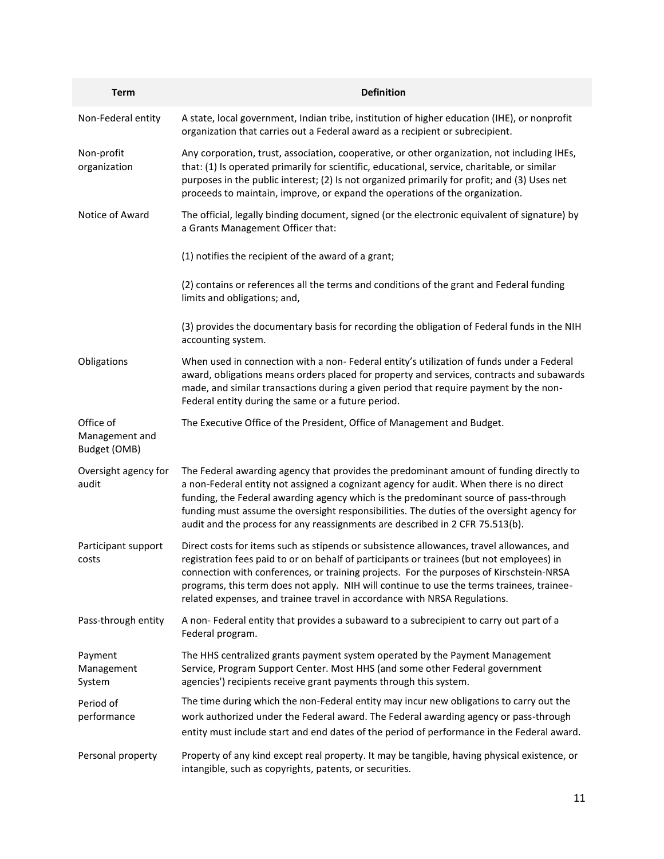| <b>Term</b>                                 | <b>Definition</b>                                                                                                                                                                                                                                                                                                                                                                                                                                           |
|---------------------------------------------|-------------------------------------------------------------------------------------------------------------------------------------------------------------------------------------------------------------------------------------------------------------------------------------------------------------------------------------------------------------------------------------------------------------------------------------------------------------|
| Non-Federal entity                          | A state, local government, Indian tribe, institution of higher education (IHE), or nonprofit<br>organization that carries out a Federal award as a recipient or subrecipient.                                                                                                                                                                                                                                                                               |
| Non-profit<br>organization                  | Any corporation, trust, association, cooperative, or other organization, not including IHEs,<br>that: (1) Is operated primarily for scientific, educational, service, charitable, or similar<br>purposes in the public interest; (2) Is not organized primarily for profit; and (3) Uses net<br>proceeds to maintain, improve, or expand the operations of the organization.                                                                                |
| Notice of Award                             | The official, legally binding document, signed (or the electronic equivalent of signature) by<br>a Grants Management Officer that:                                                                                                                                                                                                                                                                                                                          |
|                                             | (1) notifies the recipient of the award of a grant;                                                                                                                                                                                                                                                                                                                                                                                                         |
|                                             | (2) contains or references all the terms and conditions of the grant and Federal funding<br>limits and obligations; and,                                                                                                                                                                                                                                                                                                                                    |
|                                             | (3) provides the documentary basis for recording the obligation of Federal funds in the NIH<br>accounting system.                                                                                                                                                                                                                                                                                                                                           |
| Obligations                                 | When used in connection with a non- Federal entity's utilization of funds under a Federal<br>award, obligations means orders placed for property and services, contracts and subawards<br>made, and similar transactions during a given period that require payment by the non-<br>Federal entity during the same or a future period.                                                                                                                       |
| Office of<br>Management and<br>Budget (OMB) | The Executive Office of the President, Office of Management and Budget.                                                                                                                                                                                                                                                                                                                                                                                     |
| Oversight agency for<br>audit               | The Federal awarding agency that provides the predominant amount of funding directly to<br>a non-Federal entity not assigned a cognizant agency for audit. When there is no direct<br>funding, the Federal awarding agency which is the predominant source of pass-through<br>funding must assume the oversight responsibilities. The duties of the oversight agency for<br>audit and the process for any reassignments are described in 2 CFR 75.513(b).   |
| Participant support<br>costs                | Direct costs for items such as stipends or subsistence allowances, travel allowances, and<br>registration fees paid to or on behalf of participants or trainees (but not employees) in<br>connection with conferences, or training projects. For the purposes of Kirschstein-NRSA<br>programs, this term does not apply. NIH will continue to use the terms trainees, trainee-<br>related expenses, and trainee travel in accordance with NRSA Regulations. |
| Pass-through entity                         | A non-Federal entity that provides a subaward to a subrecipient to carry out part of a<br>Federal program.                                                                                                                                                                                                                                                                                                                                                  |
| Payment<br>Management<br>System             | The HHS centralized grants payment system operated by the Payment Management<br>Service, Program Support Center. Most HHS (and some other Federal government<br>agencies') recipients receive grant payments through this system.                                                                                                                                                                                                                           |
| Period of                                   | The time during which the non-Federal entity may incur new obligations to carry out the                                                                                                                                                                                                                                                                                                                                                                     |
| performance                                 | work authorized under the Federal award. The Federal awarding agency or pass-through<br>entity must include start and end dates of the period of performance in the Federal award.                                                                                                                                                                                                                                                                          |
| Personal property                           | Property of any kind except real property. It may be tangible, having physical existence, or<br>intangible, such as copyrights, patents, or securities.                                                                                                                                                                                                                                                                                                     |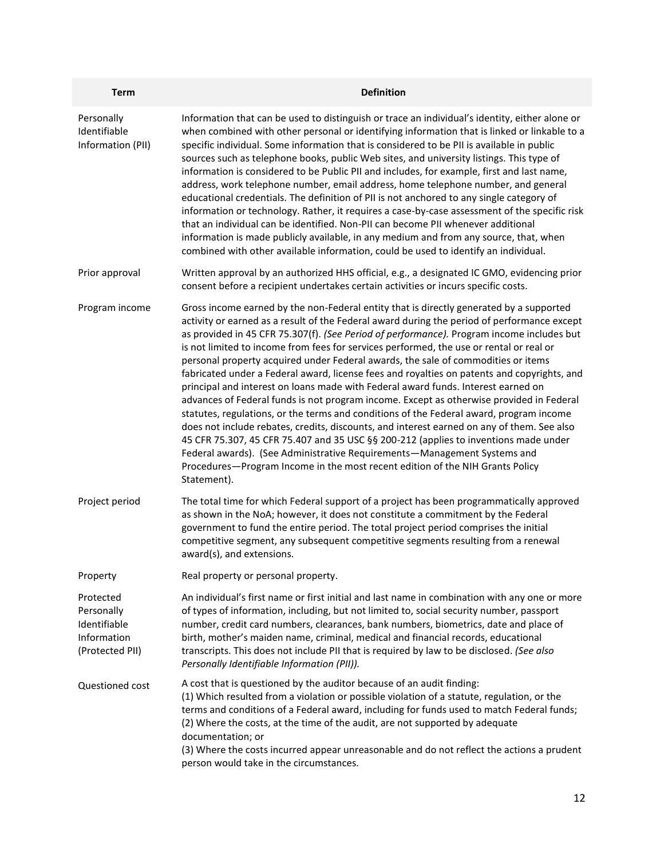| <b>Term</b>                                                               | <b>Definition</b>                                                                                                                                                                                                                                                                                                                                                                                                                                                                                                                                                                                                                                                                                                                                                                                                                                                                                                                                                                                                                                                                                                                                                                                                |
|---------------------------------------------------------------------------|------------------------------------------------------------------------------------------------------------------------------------------------------------------------------------------------------------------------------------------------------------------------------------------------------------------------------------------------------------------------------------------------------------------------------------------------------------------------------------------------------------------------------------------------------------------------------------------------------------------------------------------------------------------------------------------------------------------------------------------------------------------------------------------------------------------------------------------------------------------------------------------------------------------------------------------------------------------------------------------------------------------------------------------------------------------------------------------------------------------------------------------------------------------------------------------------------------------|
| Personally<br>Identifiable<br>Information (PII)                           | Information that can be used to distinguish or trace an individual's identity, either alone or<br>when combined with other personal or identifying information that is linked or linkable to a<br>specific individual. Some information that is considered to be PII is available in public<br>sources such as telephone books, public Web sites, and university listings. This type of<br>information is considered to be Public PII and includes, for example, first and last name,<br>address, work telephone number, email address, home telephone number, and general<br>educational credentials. The definition of PII is not anchored to any single category of<br>information or technology. Rather, it requires a case-by-case assessment of the specific risk<br>that an individual can be identified. Non-PII can become PII whenever additional<br>information is made publicly available, in any medium and from any source, that, when<br>combined with other available information, could be used to identify an individual.                                                                                                                                                                      |
| Prior approval                                                            | Written approval by an authorized HHS official, e.g., a designated IC GMO, evidencing prior<br>consent before a recipient undertakes certain activities or incurs specific costs.                                                                                                                                                                                                                                                                                                                                                                                                                                                                                                                                                                                                                                                                                                                                                                                                                                                                                                                                                                                                                                |
| Program income                                                            | Gross income earned by the non-Federal entity that is directly generated by a supported<br>activity or earned as a result of the Federal award during the period of performance except<br>as provided in 45 CFR 75.307(f). (See Period of performance). Program income includes but<br>is not limited to income from fees for services performed, the use or rental or real or<br>personal property acquired under Federal awards, the sale of commodities or items<br>fabricated under a Federal award, license fees and royalties on patents and copyrights, and<br>principal and interest on loans made with Federal award funds. Interest earned on<br>advances of Federal funds is not program income. Except as otherwise provided in Federal<br>statutes, regulations, or the terms and conditions of the Federal award, program income<br>does not include rebates, credits, discounts, and interest earned on any of them. See also<br>45 CFR 75.307, 45 CFR 75.407 and 35 USC §§ 200-212 (applies to inventions made under<br>Federal awards). (See Administrative Requirements-Management Systems and<br>Procedures-Program Income in the most recent edition of the NIH Grants Policy<br>Statement). |
| Project period                                                            | The total time for which Federal support of a project has been programmatically approved<br>as shown in the NoA; however, it does not constitute a commitment by the Federal<br>government to fund the entire period. The total project period comprises the initial<br>competitive segment, any subsequent competitive segments resulting from a renewal<br>award(s), and extensions.                                                                                                                                                                                                                                                                                                                                                                                                                                                                                                                                                                                                                                                                                                                                                                                                                           |
| Property                                                                  | Real property or personal property.                                                                                                                                                                                                                                                                                                                                                                                                                                                                                                                                                                                                                                                                                                                                                                                                                                                                                                                                                                                                                                                                                                                                                                              |
| Protected<br>Personally<br>Identifiable<br>Information<br>(Protected PII) | An individual's first name or first initial and last name in combination with any one or more<br>of types of information, including, but not limited to, social security number, passport<br>number, credit card numbers, clearances, bank numbers, biometrics, date and place of<br>birth, mother's maiden name, criminal, medical and financial records, educational<br>transcripts. This does not include PII that is required by law to be disclosed. (See also<br>Personally Identifiable Information (PII)).                                                                                                                                                                                                                                                                                                                                                                                                                                                                                                                                                                                                                                                                                               |
| Questioned cost                                                           | A cost that is questioned by the auditor because of an audit finding:<br>(1) Which resulted from a violation or possible violation of a statute, regulation, or the<br>terms and conditions of a Federal award, including for funds used to match Federal funds;<br>(2) Where the costs, at the time of the audit, are not supported by adequate<br>documentation; or<br>(3) Where the costs incurred appear unreasonable and do not reflect the actions a prudent<br>person would take in the circumstances.                                                                                                                                                                                                                                                                                                                                                                                                                                                                                                                                                                                                                                                                                                    |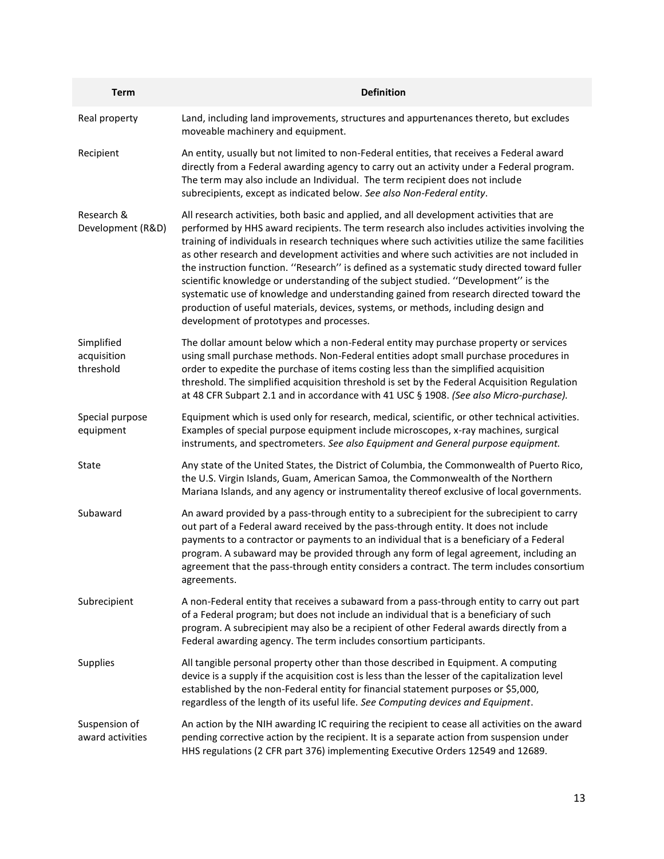| <b>Term</b>                            | <b>Definition</b>                                                                                                                                                                                                                                                                                                                                                                                                                                                                                                                                                                                                                                                                                                                                                                                           |
|----------------------------------------|-------------------------------------------------------------------------------------------------------------------------------------------------------------------------------------------------------------------------------------------------------------------------------------------------------------------------------------------------------------------------------------------------------------------------------------------------------------------------------------------------------------------------------------------------------------------------------------------------------------------------------------------------------------------------------------------------------------------------------------------------------------------------------------------------------------|
| Real property                          | Land, including land improvements, structures and appurtenances thereto, but excludes<br>moveable machinery and equipment.                                                                                                                                                                                                                                                                                                                                                                                                                                                                                                                                                                                                                                                                                  |
| Recipient                              | An entity, usually but not limited to non-Federal entities, that receives a Federal award<br>directly from a Federal awarding agency to carry out an activity under a Federal program.<br>The term may also include an Individual. The term recipient does not include<br>subrecipients, except as indicated below. See also Non-Federal entity.                                                                                                                                                                                                                                                                                                                                                                                                                                                            |
| Research &<br>Development (R&D)        | All research activities, both basic and applied, and all development activities that are<br>performed by HHS award recipients. The term research also includes activities involving the<br>training of individuals in research techniques where such activities utilize the same facilities<br>as other research and development activities and where such activities are not included in<br>the instruction function. "Research" is defined as a systematic study directed toward fuller<br>scientific knowledge or understanding of the subject studied. "Development" is the<br>systematic use of knowledge and understanding gained from research directed toward the<br>production of useful materials, devices, systems, or methods, including design and<br>development of prototypes and processes. |
| Simplified<br>acquisition<br>threshold | The dollar amount below which a non-Federal entity may purchase property or services<br>using small purchase methods. Non-Federal entities adopt small purchase procedures in<br>order to expedite the purchase of items costing less than the simplified acquisition<br>threshold. The simplified acquisition threshold is set by the Federal Acquisition Regulation<br>at 48 CFR Subpart 2.1 and in accordance with 41 USC § 1908. (See also Micro-purchase).                                                                                                                                                                                                                                                                                                                                             |
| Special purpose<br>equipment           | Equipment which is used only for research, medical, scientific, or other technical activities.<br>Examples of special purpose equipment include microscopes, x-ray machines, surgical<br>instruments, and spectrometers. See also Equipment and General purpose equipment.                                                                                                                                                                                                                                                                                                                                                                                                                                                                                                                                  |
| State                                  | Any state of the United States, the District of Columbia, the Commonwealth of Puerto Rico,<br>the U.S. Virgin Islands, Guam, American Samoa, the Commonwealth of the Northern<br>Mariana Islands, and any agency or instrumentality thereof exclusive of local governments.                                                                                                                                                                                                                                                                                                                                                                                                                                                                                                                                 |
| Subaward                               | An award provided by a pass-through entity to a subrecipient for the subrecipient to carry<br>out part of a Federal award received by the pass-through entity. It does not include<br>payments to a contractor or payments to an individual that is a beneficiary of a Federal<br>program. A subaward may be provided through any form of legal agreement, including an<br>agreement that the pass-through entity considers a contract. The term includes consortium<br>agreements.                                                                                                                                                                                                                                                                                                                         |
| Subrecipient                           | A non-Federal entity that receives a subaward from a pass-through entity to carry out part<br>of a Federal program; but does not include an individual that is a beneficiary of such<br>program. A subrecipient may also be a recipient of other Federal awards directly from a<br>Federal awarding agency. The term includes consortium participants.                                                                                                                                                                                                                                                                                                                                                                                                                                                      |
| <b>Supplies</b>                        | All tangible personal property other than those described in Equipment. A computing<br>device is a supply if the acquisition cost is less than the lesser of the capitalization level<br>established by the non-Federal entity for financial statement purposes or \$5,000,<br>regardless of the length of its useful life. See Computing devices and Equipment.                                                                                                                                                                                                                                                                                                                                                                                                                                            |
| Suspension of<br>award activities      | An action by the NIH awarding IC requiring the recipient to cease all activities on the award<br>pending corrective action by the recipient. It is a separate action from suspension under<br>HHS regulations (2 CFR part 376) implementing Executive Orders 12549 and 12689.                                                                                                                                                                                                                                                                                                                                                                                                                                                                                                                               |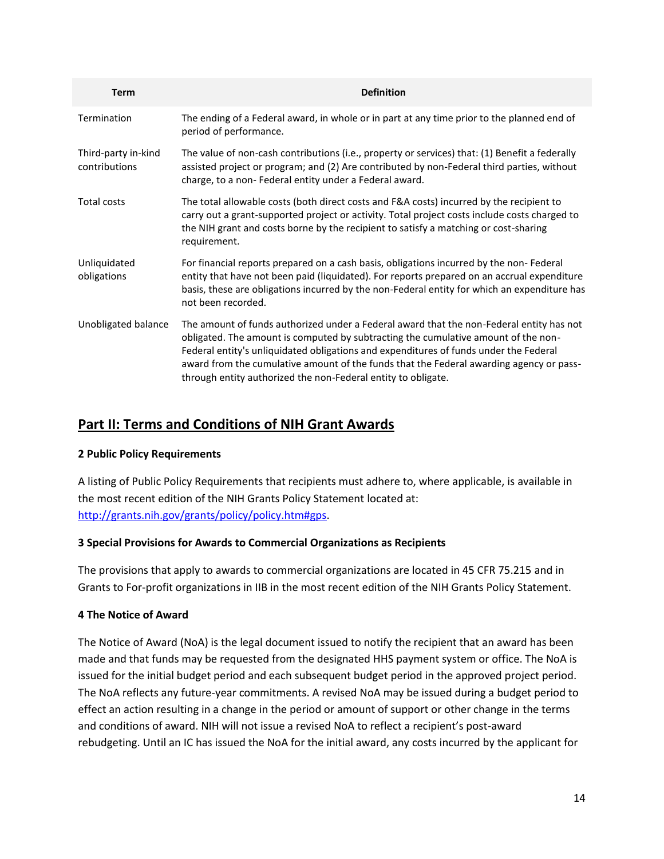| <b>Term</b>                          | <b>Definition</b>                                                                                                                                                                                                                                                                                                                                                                                                                   |
|--------------------------------------|-------------------------------------------------------------------------------------------------------------------------------------------------------------------------------------------------------------------------------------------------------------------------------------------------------------------------------------------------------------------------------------------------------------------------------------|
| Termination                          | The ending of a Federal award, in whole or in part at any time prior to the planned end of<br>period of performance.                                                                                                                                                                                                                                                                                                                |
| Third-party in-kind<br>contributions | The value of non-cash contributions (i.e., property or services) that: (1) Benefit a federally<br>assisted project or program; and (2) Are contributed by non-Federal third parties, without<br>charge, to a non- Federal entity under a Federal award.                                                                                                                                                                             |
| Total costs                          | The total allowable costs (both direct costs and F&A costs) incurred by the recipient to<br>carry out a grant-supported project or activity. Total project costs include costs charged to<br>the NIH grant and costs borne by the recipient to satisfy a matching or cost-sharing<br>requirement.                                                                                                                                   |
| Unliquidated<br>obligations          | For financial reports prepared on a cash basis, obligations incurred by the non- Federal<br>entity that have not been paid (liquidated). For reports prepared on an accrual expenditure<br>basis, these are obligations incurred by the non-Federal entity for which an expenditure has<br>not been recorded.                                                                                                                       |
| Unobligated balance                  | The amount of funds authorized under a Federal award that the non-Federal entity has not<br>obligated. The amount is computed by subtracting the cumulative amount of the non-<br>Federal entity's unliquidated obligations and expenditures of funds under the Federal<br>award from the cumulative amount of the funds that the Federal awarding agency or pass-<br>through entity authorized the non-Federal entity to obligate. |

# **Part II: Terms and Conditions of NIH Grant Awards**

## **2 Public Policy Requirements**

A listing of Public Policy Requirements that recipients must adhere to, where applicable, is available in the most recent edition of the NIH Grants Policy Statement located at: [http://grants.nih.gov/grants/policy/policy.htm#gps.](http://grants.nih.gov/grants/policy/policy.htm#gps)

## **3 Special Provisions for Awards to Commercial Organizations as Recipients**

The provisions that apply to awards to commercial organizations are located in 45 CFR 75.215 and in Grants to For-profit organizations in IIB in the most recent edition of the NIH Grants Policy Statement.

## **4 The Notice of Award**

The Notice of Award (NoA) is the legal document issued to notify the recipient that an award has been made and that funds may be requested from the designated HHS payment system or office. The NoA is issued for the initial budget period and each subsequent budget period in the approved project period. The NoA reflects any future-year commitments. A revised NoA may be issued during a budget period to effect an action resulting in a change in the period or amount of support or other change in the terms and conditions of award. NIH will not issue a revised NoA to reflect a recipient's post-award rebudgeting. Until an IC has issued the NoA for the initial award, any costs incurred by the applicant for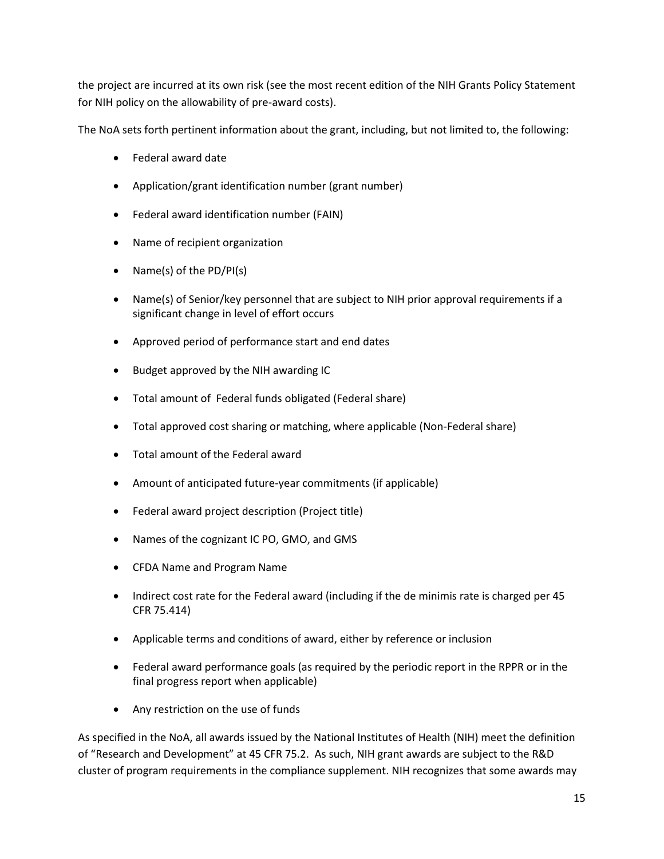the project are incurred at its own risk (see the most recent edition of the NIH Grants Policy Statement for NIH policy on the allowability of pre-award costs).

The NoA sets forth pertinent information about the grant, including, but not limited to, the following:

- Federal award date
- Application/grant identification number (grant number)
- Federal award identification number (FAIN)
- Name of recipient organization
- Name(s) of the  $PD/PI(s)$
- Name(s) of Senior/key personnel that are subject to NIH prior approval requirements if a significant change in level of effort occurs
- Approved period of performance start and end dates
- Budget approved by the NIH awarding IC
- Total amount of Federal funds obligated (Federal share)
- Total approved cost sharing or matching, where applicable (Non-Federal share)
- Total amount of the Federal award
- Amount of anticipated future-year commitments (if applicable)
- Federal award project description (Project title)
- Names of the cognizant IC PO, GMO, and GMS
- CFDA Name and Program Name
- Indirect cost rate for the Federal award (including if the de minimis rate is charged per 45 CFR 75.414)
- Applicable terms and conditions of award, either by reference or inclusion
- Federal award performance goals (as required by the periodic report in the RPPR or in the final progress report when applicable)
- Any restriction on the use of funds

As specified in the NoA, all awards issued by the National Institutes of Health (NIH) meet the definition of "Research and Development" at 45 CFR 75.2. As such, NIH grant awards are subject to the R&D cluster of program requirements in the compliance supplement. NIH recognizes that some awards may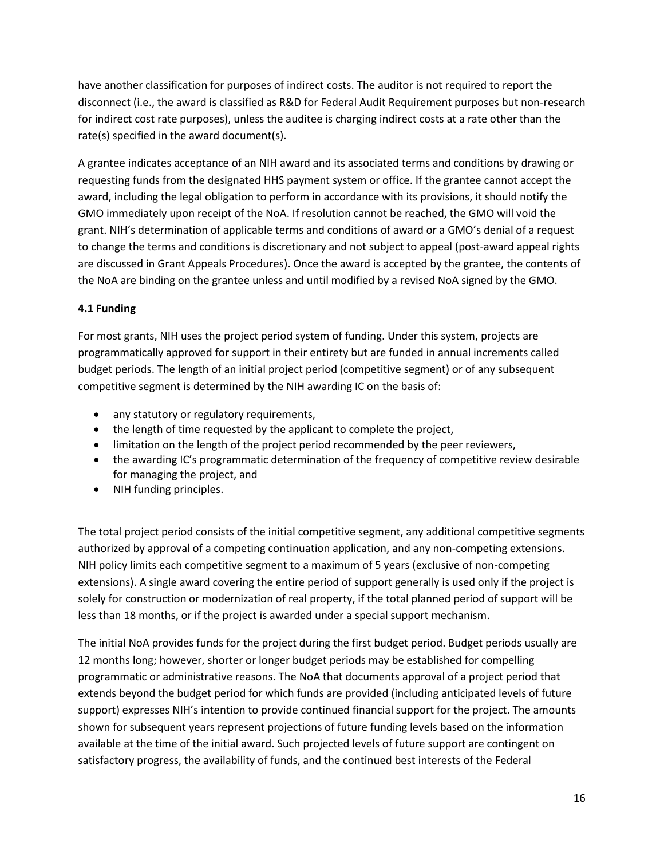have another classification for purposes of indirect costs. The auditor is not required to report the disconnect (i.e., the award is classified as R&D for Federal Audit Requirement purposes but non-research for indirect cost rate purposes), unless the auditee is charging indirect costs at a rate other than the rate(s) specified in the award document(s).

A grantee indicates acceptance of an NIH award and its associated terms and conditions by drawing or requesting funds from the designated HHS payment system or office. If the grantee cannot accept the award, including the legal obligation to perform in accordance with its provisions, it should notify the GMO immediately upon receipt of the NoA. If resolution cannot be reached, the GMO will void the grant. NIH's determination of applicable terms and conditions of award or a GMO's denial of a request to change the terms and conditions is discretionary and not subject to appeal (post-award appeal rights are discussed in Grant Appeals Procedures). Once the award is accepted by the grantee, the contents of the NoA are binding on the grantee unless and until modified by a revised NoA signed by the GMO.

## **4.1 Funding**

For most grants, NIH uses the project period system of funding. Under this system, projects are programmatically approved for support in their entirety but are funded in annual increments called budget periods. The length of an initial project period (competitive segment) or of any subsequent competitive segment is determined by the NIH awarding IC on the basis of:

- any statutory or regulatory requirements,
- the length of time requested by the applicant to complete the project,
- limitation on the length of the project period recommended by the peer reviewers,
- the awarding IC's programmatic determination of the frequency of competitive review desirable for managing the project, and
- NIH funding principles.

The total project period consists of the initial competitive segment, any additional competitive segments authorized by approval of a competing continuation application, and any non-competing extensions. NIH policy limits each competitive segment to a maximum of 5 years (exclusive of non-competing extensions). A single award covering the entire period of support generally is used only if the project is solely for construction or modernization of real property, if the total planned period of support will be less than 18 months, or if the project is awarded under a special support mechanism.

The initial NoA provides funds for the project during the first budget period. Budget periods usually are 12 months long; however, shorter or longer budget periods may be established for compelling programmatic or administrative reasons. The NoA that documents approval of a project period that extends beyond the budget period for which funds are provided (including anticipated levels of future support) expresses NIH's intention to provide continued financial support for the project. The amounts shown for subsequent years represent projections of future funding levels based on the information available at the time of the initial award. Such projected levels of future support are contingent on satisfactory progress, the availability of funds, and the continued best interests of the Federal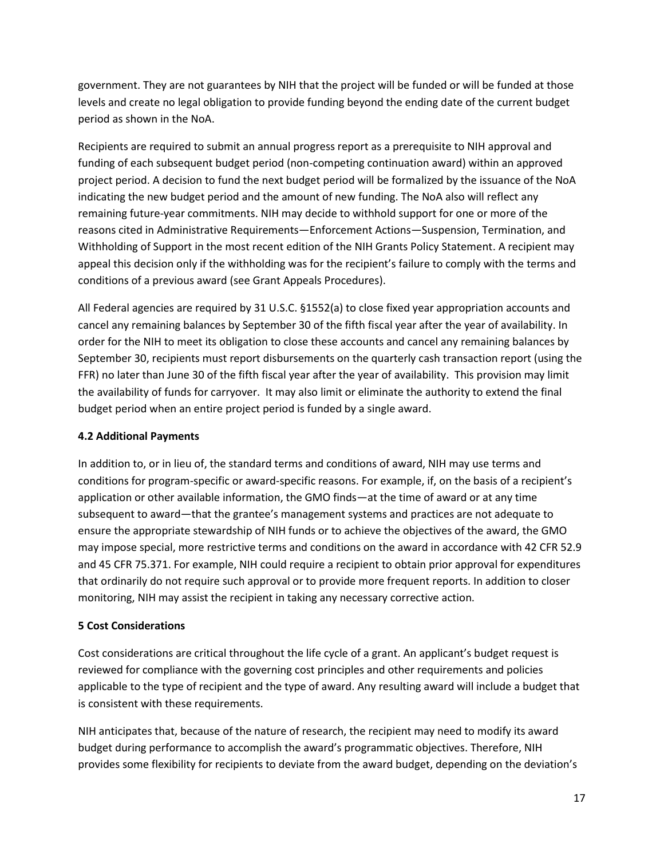government. They are not guarantees by NIH that the project will be funded or will be funded at those levels and create no legal obligation to provide funding beyond the ending date of the current budget period as shown in the NoA.

Recipients are required to submit an annual progress report as a prerequisite to NIH approval and funding of each subsequent budget period (non-competing continuation award) within an approved project period. A decision to fund the next budget period will be formalized by the issuance of the NoA indicating the new budget period and the amount of new funding. The NoA also will reflect any remaining future-year commitments. NIH may decide to withhold support for one or more of the reasons cited in Administrative Requirements—Enforcement Actions—Suspension, Termination, and Withholding of Support in the most recent edition of the NIH Grants Policy Statement. A recipient may appeal this decision only if the withholding was for the recipient's failure to comply with the terms and conditions of a previous award (see Grant Appeals Procedures).

All Federal agencies are required by 31 U.S.C. §1552(a) to close fixed year appropriation accounts and cancel any remaining balances by September 30 of the fifth fiscal year after the year of availability. In order for the NIH to meet its obligation to close these accounts and cancel any remaining balances by September 30, recipients must report disbursements on the quarterly cash transaction report (using the FFR) no later than June 30 of the fifth fiscal year after the year of availability. This provision may limit the availability of funds for carryover. It may also limit or eliminate the authority to extend the final budget period when an entire project period is funded by a single award.

## **4.2 Additional Payments**

In addition to, or in lieu of, the standard terms and conditions of award, NIH may use terms and conditions for program-specific or award-specific reasons. For example, if, on the basis of a recipient's application or other available information, the GMO finds—at the time of award or at any time subsequent to award—that the grantee's management systems and practices are not adequate to ensure the appropriate stewardship of NIH funds or to achieve the objectives of the award, the GMO may impose special, more restrictive terms and conditions on the award in accordance with 42 CFR 52.9 and 45 CFR 75.371. For example, NIH could require a recipient to obtain prior approval for expenditures that ordinarily do not require such approval or to provide more frequent reports. In addition to closer monitoring, NIH may assist the recipient in taking any necessary corrective action.

## **5 Cost Considerations**

Cost considerations are critical throughout the life cycle of a grant. An applicant's budget request is reviewed for compliance with the governing cost principles and other requirements and policies applicable to the type of recipient and the type of award. Any resulting award will include a budget that is consistent with these requirements.

NIH anticipates that, because of the nature of research, the recipient may need to modify its award budget during performance to accomplish the award's programmatic objectives. Therefore, NIH provides some flexibility for recipients to deviate from the award budget, depending on the deviation's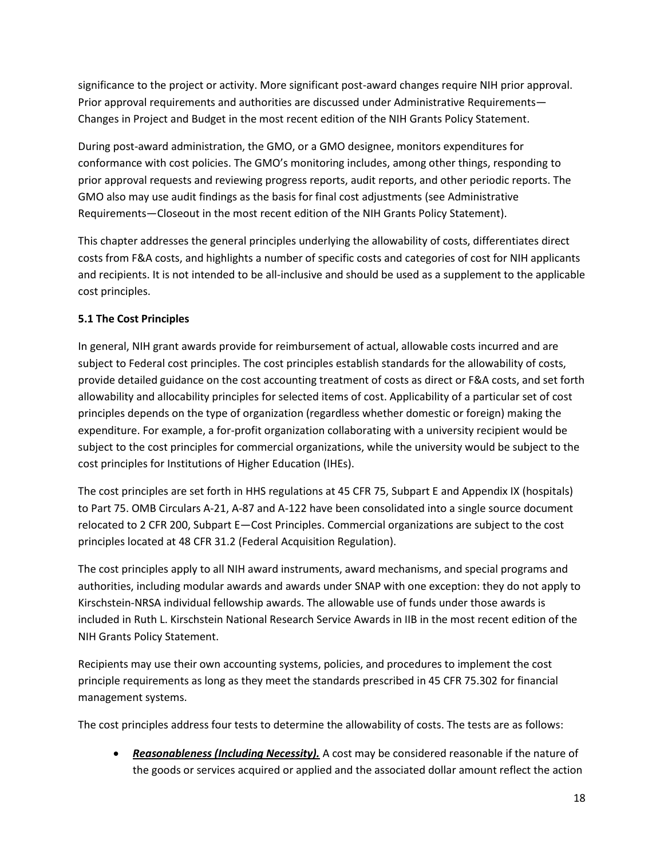significance to the project or activity. More significant post-award changes require NIH prior approval. Prior approval requirements and authorities are discussed under Administrative Requirements— Changes in Project and Budget in the most recent edition of the NIH Grants Policy Statement.

During post-award administration, the GMO, or a GMO designee, monitors expenditures for conformance with cost policies. The GMO's monitoring includes, among other things, responding to prior approval requests and reviewing progress reports, audit reports, and other periodic reports. The GMO also may use audit findings as the basis for final cost adjustments (see Administrative Requirements—Closeout in the most recent edition of the NIH Grants Policy Statement).

This chapter addresses the general principles underlying the allowability of costs, differentiates direct costs from F&A costs, and highlights a number of specific costs and categories of cost for NIH applicants and recipients. It is not intended to be all-inclusive and should be used as a supplement to the applicable cost principles.

# **5.1 The Cost Principles**

In general, NIH grant awards provide for reimbursement of actual, allowable costs incurred and are subject to Federal cost principles. The cost principles establish standards for the allowability of costs, provide detailed guidance on the cost accounting treatment of costs as direct or F&A costs, and set forth allowability and allocability principles for selected items of cost. Applicability of a particular set of cost principles depends on the type of organization (regardless whether domestic or foreign) making the expenditure. For example, a for-profit organization collaborating with a university recipient would be subject to the cost principles for commercial organizations, while the university would be subject to the cost principles for Institutions of Higher Education (IHEs).

The cost principles are set forth in HHS regulations at 45 CFR 75, Subpart E and Appendix IX (hospitals) to Part 75. OMB Circulars A-21, A-87 and A-122 have been consolidated into a single source document relocated to 2 CFR 200, Subpart E—Cost Principles. Commercial organizations are subject to the cost principles located at 48 CFR 31.2 (Federal Acquisition Regulation).

The cost principles apply to all NIH award instruments, award mechanisms, and special programs and authorities, including modular awards and awards under SNAP with one exception: they do not apply to Kirschstein-NRSA individual fellowship awards. The allowable use of funds under those awards is included in Ruth L. Kirschstein National Research Service Awards in IIB in the most recent edition of the NIH Grants Policy Statement.

Recipients may use their own accounting systems, policies, and procedures to implement the cost principle requirements as long as they meet the standards prescribed in 45 CFR 75.302 for financial management systems.

The cost principles address four tests to determine the allowability of costs. The tests are as follows:

 *Reasonableness (Including Necessity).* A cost may be considered reasonable if the nature of the goods or services acquired or applied and the associated dollar amount reflect the action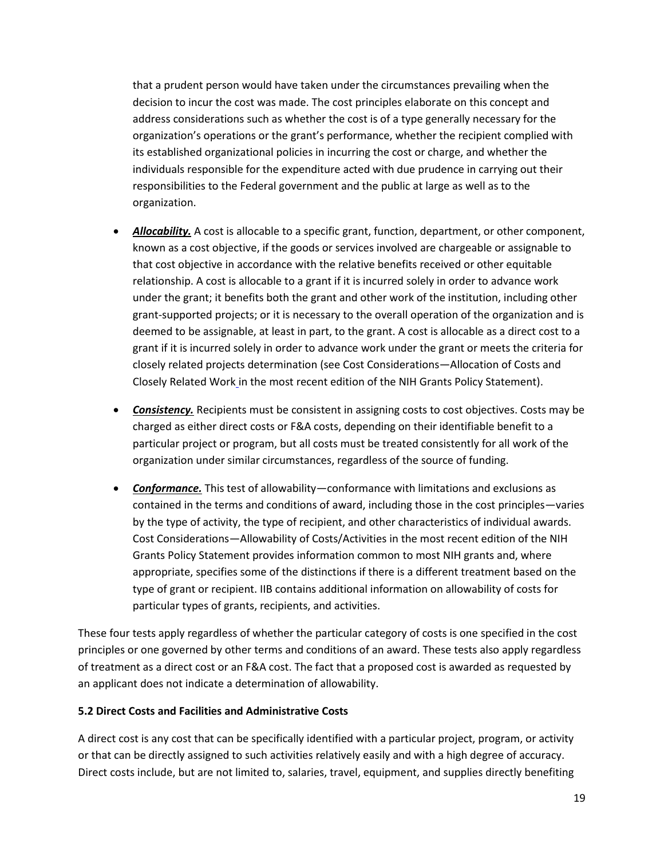that a prudent person would have taken under the circumstances prevailing when the decision to incur the cost was made. The cost principles elaborate on this concept and address considerations such as whether the cost is of a type generally necessary for the organization's operations or the grant's performance, whether the recipient complied with its established organizational policies in incurring the cost or charge, and whether the individuals responsible for the expenditure acted with due prudence in carrying out their responsibilities to the Federal government and the public at large as well as to the organization.

- *Allocability.* A cost is allocable to a specific grant, function, department, or other component, known as a cost objective, if the goods or services involved are chargeable or assignable to that cost objective in accordance with the relative benefits received or other equitable relationship. A cost is allocable to a grant if it is incurred solely in order to advance work under the grant; it benefits both the grant and other work of the institution, including other grant-supported projects; or it is necessary to the overall operation of the organization and is deemed to be assignable, at least in part, to the grant. A cost is allocable as a direct cost to a grant if it is incurred solely in order to advance work under the grant or meets the criteria for closely related projects determination (see Cost Considerations—Allocation of Costs and Closely Related Work in the most recent edition of the NIH Grants Policy Statement).
- *Consistency.* Recipients must be consistent in assigning costs to cost objectives. Costs may be charged as either direct costs or F&A costs, depending on their identifiable benefit to a particular project or program, but all costs must be treated consistently for all work of the organization under similar circumstances, regardless of the source of funding.
- *Conformance.* This test of allowability—conformance with limitations and exclusions as contained in the terms and conditions of award, including those in the cost principles—varies by the type of activity, the type of recipient, and other characteristics of individual awards. Cost Considerations—Allowability of Costs/Activities in the most recent edition of the NIH Grants Policy Statement provides information common to most NIH grants and, where appropriate, specifies some of the distinctions if there is a different treatment based on the type of grant or recipient. IIB contains additional information on allowability of costs for particular types of grants, recipients, and activities.

These four tests apply regardless of whether the particular category of costs is one specified in the cost principles or one governed by other terms and conditions of an award. These tests also apply regardless of treatment as a direct cost or an F&A cost. The fact that a proposed cost is awarded as requested by an applicant does not indicate a determination of allowability.

#### **5.2 Direct Costs and Facilities and Administrative Costs**

A direct cost is any cost that can be specifically identified with a particular project, program, or activity or that can be directly assigned to such activities relatively easily and with a high degree of accuracy. Direct costs include, but are not limited to, salaries, travel, equipment, and supplies directly benefiting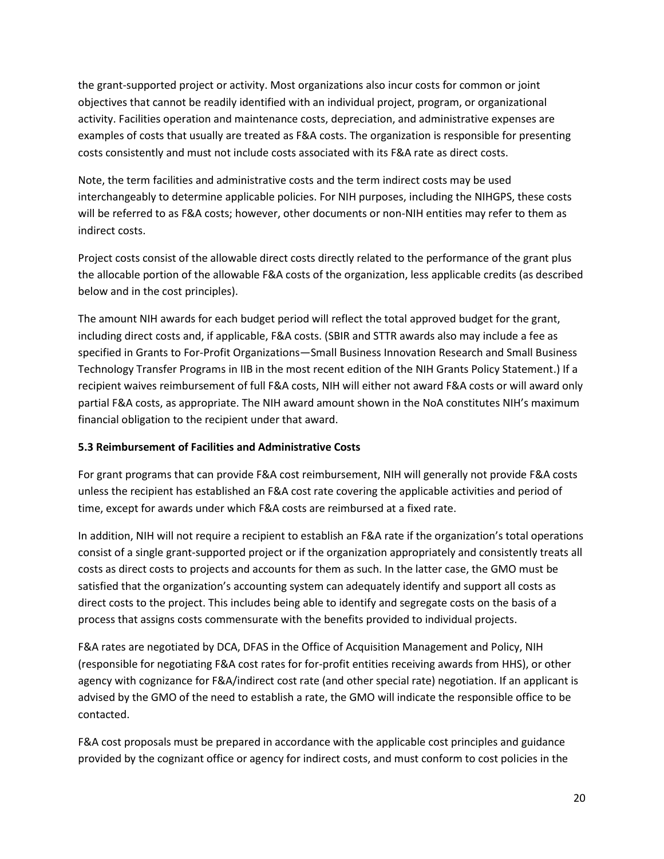the grant-supported project or activity. Most organizations also incur costs for common or joint objectives that cannot be readily identified with an individual project, program, or organizational activity. Facilities operation and maintenance costs, depreciation, and administrative expenses are examples of costs that usually are treated as F&A costs. The organization is responsible for presenting costs consistently and must not include costs associated with its F&A rate as direct costs.

Note, the term facilities and administrative costs and the term indirect costs may be used interchangeably to determine applicable policies. For NIH purposes, including the NIHGPS, these costs will be referred to as F&A costs; however, other documents or non-NIH entities may refer to them as indirect costs.

Project costs consist of the allowable direct costs directly related to the performance of the grant plus the allocable portion of the allowable F&A costs of the organization, less applicable credits (as described below and in the cost principles).

The amount NIH awards for each budget period will reflect the total approved budget for the grant, including direct costs and, if applicable, F&A costs. (SBIR and STTR awards also may include a fee as specified in Grants to For-Profit Organizations—Small Business Innovation Research and Small Business Technology Transfer Programs in IIB in the most recent edition of the NIH Grants Policy Statement.) If a recipient waives reimbursement of full F&A costs, NIH will either not award F&A costs or will award only partial F&A costs, as appropriate. The NIH award amount shown in the NoA constitutes NIH's maximum financial obligation to the recipient under that award.

## **5.3 Reimbursement of Facilities and Administrative Costs**

For grant programs that can provide F&A cost reimbursement, NIH will generally not provide F&A costs unless the recipient has established an F&A cost rate covering the applicable activities and period of time, except for awards under which F&A costs are reimbursed at a fixed rate.

In addition, NIH will not require a recipient to establish an F&A rate if the organization's total operations consist of a single grant-supported project or if the organization appropriately and consistently treats all costs as direct costs to projects and accounts for them as such. In the latter case, the GMO must be satisfied that the organization's accounting system can adequately identify and support all costs as direct costs to the project. This includes being able to identify and segregate costs on the basis of a process that assigns costs commensurate with the benefits provided to individual projects.

F&A rates are negotiated by DCA, DFAS in the Office of Acquisition Management and Policy, NIH (responsible for negotiating F&A cost rates for for-profit entities receiving awards from HHS), or other agency with cognizance for F&A/indirect cost rate (and other special rate) negotiation. If an applicant is advised by the GMO of the need to establish a rate, the GMO will indicate the responsible office to be contacted.

F&A cost proposals must be prepared in accordance with the applicable cost principles and guidance provided by the cognizant office or agency for indirect costs, and must conform to cost policies in the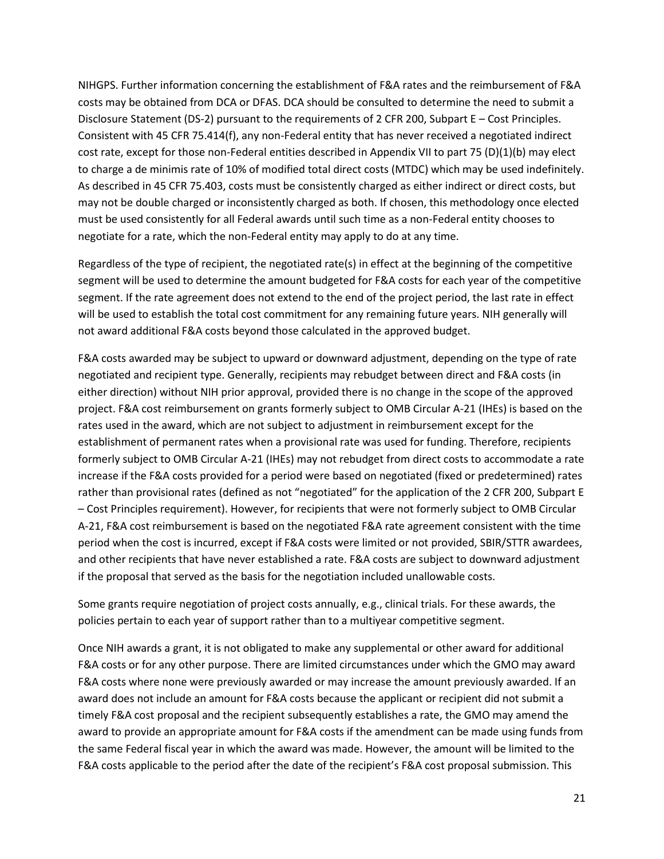NIHGPS. Further information concerning the establishment of F&A rates and the reimbursement of F&A costs may be obtained from DCA or DFAS. DCA should be consulted to determine the need to submit a Disclosure Statement (DS-2) pursuant to the requirements of 2 CFR 200, Subpart E – Cost Principles. Consistent with 45 CFR 75.414(f), any non-Federal entity that has never received a negotiated indirect cost rate, except for those non-Federal entities described in Appendix VII to part 75 (D)(1)(b) may elect to charge a de minimis rate of 10% of modified total direct costs (MTDC) which may be used indefinitely. As described in 45 CFR 75.403, costs must be consistently charged as either indirect or direct costs, but may not be double charged or inconsistently charged as both. If chosen, this methodology once elected must be used consistently for all Federal awards until such time as a non-Federal entity chooses to negotiate for a rate, which the non-Federal entity may apply to do at any time.

Regardless of the type of recipient, the negotiated rate(s) in effect at the beginning of the competitive segment will be used to determine the amount budgeted for F&A costs for each year of the competitive segment. If the rate agreement does not extend to the end of the project period, the last rate in effect will be used to establish the total cost commitment for any remaining future years. NIH generally will not award additional F&A costs beyond those calculated in the approved budget.

F&A costs awarded may be subject to upward or downward adjustment, depending on the type of rate negotiated and recipient type. Generally, recipients may rebudget between direct and F&A costs (in either direction) without NIH prior approval, provided there is no change in the scope of the approved project. F&A cost reimbursement on grants formerly subject to OMB Circular A-21 (IHEs) is based on the rates used in the award, which are not subject to adjustment in reimbursement except for the establishment of permanent rates when a provisional rate was used for funding. Therefore, recipients formerly subject to OMB Circular A-21 (IHEs) may not rebudget from direct costs to accommodate a rate increase if the F&A costs provided for a period were based on negotiated (fixed or predetermined) rates rather than provisional rates (defined as not "negotiated" for the application of the 2 CFR 200, Subpart E – Cost Principles requirement). However, for recipients that were not formerly subject to OMB Circular A-21, F&A cost reimbursement is based on the negotiated F&A rate agreement consistent with the time period when the cost is incurred, except if F&A costs were limited or not provided, SBIR/STTR awardees, and other recipients that have never established a rate. F&A costs are subject to downward adjustment if the proposal that served as the basis for the negotiation included unallowable costs.

Some grants require negotiation of project costs annually, e.g., clinical trials. For these awards, the policies pertain to each year of support rather than to a multiyear competitive segment.

Once NIH awards a grant, it is not obligated to make any supplemental or other award for additional F&A costs or for any other purpose. There are limited circumstances under which the GMO may award F&A costs where none were previously awarded or may increase the amount previously awarded. If an award does not include an amount for F&A costs because the applicant or recipient did not submit a timely F&A cost proposal and the recipient subsequently establishes a rate, the GMO may amend the award to provide an appropriate amount for F&A costs if the amendment can be made using funds from the same Federal fiscal year in which the award was made. However, the amount will be limited to the F&A costs applicable to the period after the date of the recipient's F&A cost proposal submission. This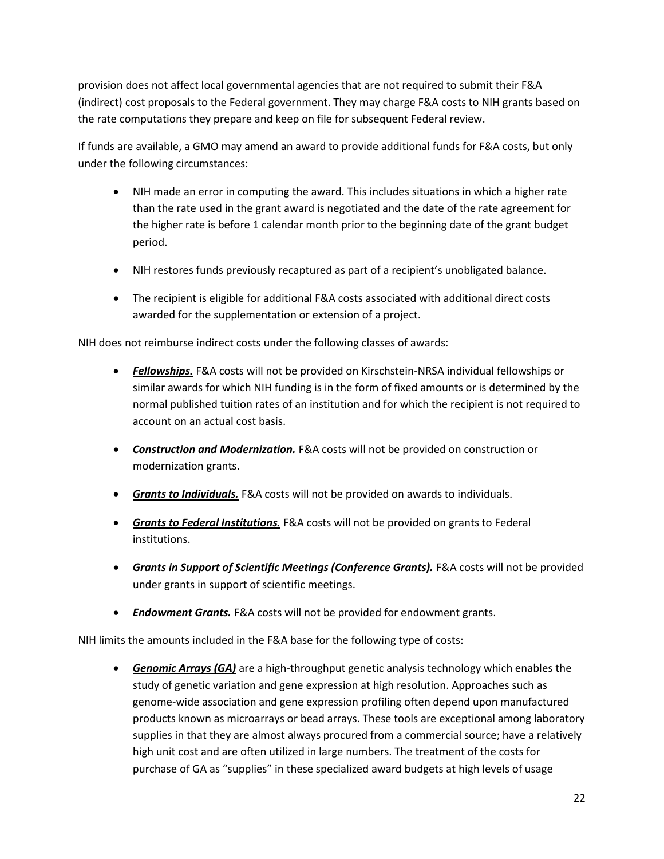provision does not affect local governmental agencies that are not required to submit their F&A (indirect) cost proposals to the Federal government. They may charge F&A costs to NIH grants based on the rate computations they prepare and keep on file for subsequent Federal review.

If funds are available, a GMO may amend an award to provide additional funds for F&A costs, but only under the following circumstances:

- NIH made an error in computing the award. This includes situations in which a higher rate than the rate used in the grant award is negotiated and the date of the rate agreement for the higher rate is before 1 calendar month prior to the beginning date of the grant budget period.
- NIH restores funds previously recaptured as part of a recipient's unobligated balance.
- The recipient is eligible for additional F&A costs associated with additional direct costs awarded for the supplementation or extension of a project.

NIH does not reimburse indirect costs under the following classes of awards:

- *Fellowships.* F&A costs will not be provided on Kirschstein-NRSA individual fellowships or similar awards for which NIH funding is in the form of fixed amounts or is determined by the normal published tuition rates of an institution and for which the recipient is not required to account on an actual cost basis.
- *Construction and Modernization.* F&A costs will not be provided on construction or modernization grants.
- *Grants to Individuals.* F&A costs will not be provided on awards to individuals.
- *Grants to Federal Institutions.* F&A costs will not be provided on grants to Federal institutions.
- **Grants in Support of Scientific Meetings (Conference Grants).** F&A costs will not be provided under grants in support of scientific meetings.
- *Endowment Grants.* F&A costs will not be provided for endowment grants.

NIH limits the amounts included in the F&A base for the following type of costs:

 *Genomic Arrays (GA)* are a high-throughput genetic analysis technology which enables the study of genetic variation and gene expression at high resolution. Approaches such as genome-wide association and gene expression profiling often depend upon manufactured products known as microarrays or bead arrays. These tools are exceptional among laboratory supplies in that they are almost always procured from a commercial source; have a relatively high unit cost and are often utilized in large numbers. The treatment of the costs for purchase of GA as "supplies" in these specialized award budgets at high levels of usage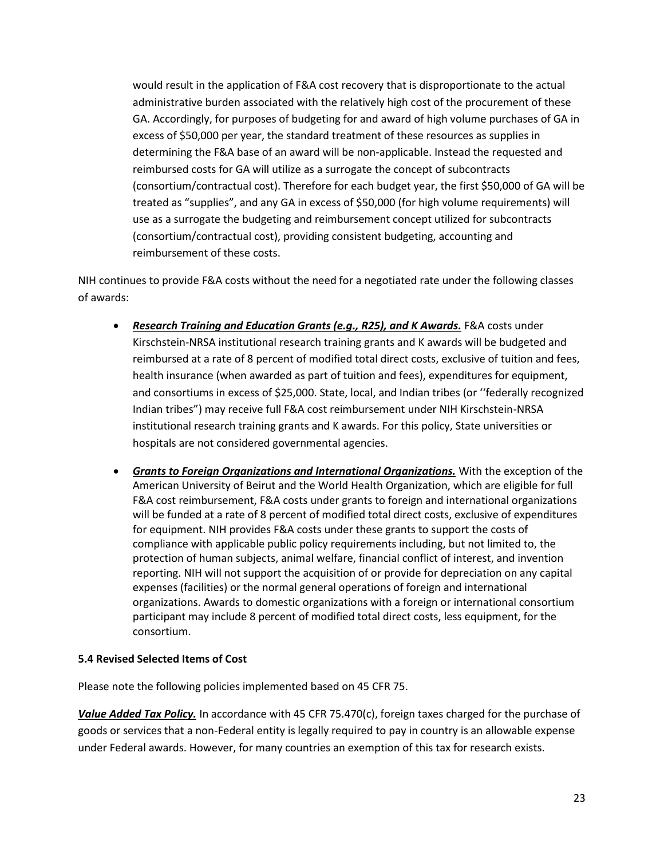would result in the application of F&A cost recovery that is disproportionate to the actual administrative burden associated with the relatively high cost of the procurement of these GA. Accordingly, for purposes of budgeting for and award of high volume purchases of GA in excess of \$50,000 per year, the standard treatment of these resources as supplies in determining the F&A base of an award will be non-applicable. Instead the requested and reimbursed costs for GA will utilize as a surrogate the concept of subcontracts (consortium/contractual cost). Therefore for each budget year, the first \$50,000 of GA will be treated as "supplies", and any GA in excess of \$50,000 (for high volume requirements) will use as a surrogate the budgeting and reimbursement concept utilized for subcontracts (consortium/contractual cost), providing consistent budgeting, accounting and reimbursement of these costs.

NIH continues to provide F&A costs without the need for a negotiated rate under the following classes of awards:

- *Research Training and Education Grants (e.g., R25), and K Awards.* F&A costs under Kirschstein-NRSA institutional research training grants and K awards will be budgeted and reimbursed at a rate of 8 percent of modified total direct costs, exclusive of tuition and fees, health insurance (when awarded as part of tuition and fees), expenditures for equipment, and consortiums in excess of \$25,000. State, local, and Indian tribes (or ''federally recognized Indian tribes") may receive full F&A cost reimbursement under NIH Kirschstein-NRSA institutional research training grants and K awards. For this policy, State universities or hospitals are not considered governmental agencies.
- *Grants to Foreign Organizations and International Organizations.* With the exception of the American University of Beirut and the World Health Organization, which are eligible for full F&A cost reimbursement, F&A costs under grants to foreign and international organizations will be funded at a rate of 8 percent of modified total direct costs, exclusive of expenditures for equipment. NIH provides F&A costs under these grants to support the costs of compliance with applicable public policy requirements including, but not limited to, the protection of human subjects, animal welfare, financial conflict of interest, and invention reporting. NIH will not support the acquisition of or provide for depreciation on any capital expenses (facilities) or the normal general operations of foreign and international organizations. Awards to domestic organizations with a foreign or international consortium participant may include 8 percent of modified total direct costs, less equipment, for the consortium.

#### **5.4 Revised Selected Items of Cost**

Please note the following policies implemented based on 45 CFR 75.

*Value Added Tax Policy.* In accordance with 45 CFR 75.470(c), foreign taxes charged for the purchase of goods or services that a non-Federal entity is legally required to pay in country is an allowable expense under Federal awards. However, for many countries an exemption of this tax for research exists.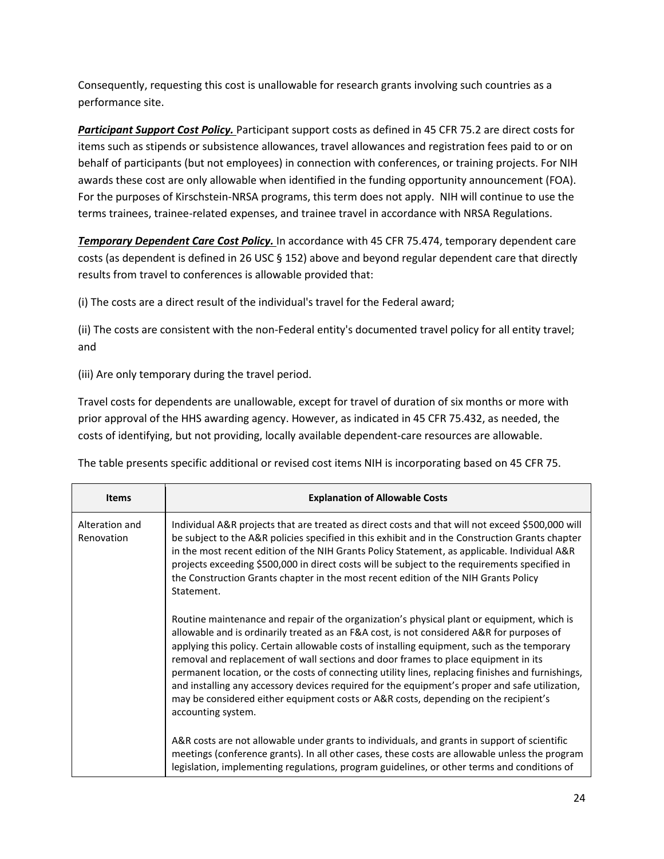Consequently, requesting this cost is unallowable for research grants involving such countries as a performance site.

*Participant Support Cost Policy.* Participant support costs as defined in 45 CFR 75.2 are direct costs for items such as stipends or subsistence allowances, travel allowances and registration fees paid to or on behalf of participants (but not employees) in connection with conferences, or training projects. For NIH awards these cost are only allowable when identified in the funding opportunity announcement (FOA). For the purposes of Kirschstein-NRSA programs, this term does not apply. NIH will continue to use the terms trainees, trainee-related expenses, and trainee travel in accordance with NRSA Regulations.

*Temporary Dependent Care Cost Policy.* In accordance with 45 CFR 75.474, temporary dependent care costs (as dependent is defined in 26 USC § 152) above and beyond regular dependent care that directly results from travel to conferences is allowable provided that:

(i) The costs are a direct result of the individual's travel for the Federal award;

(ii) The costs are consistent with the non-Federal entity's documented travel policy for all entity travel; and

(iii) Are only temporary during the travel period.

Travel costs for dependents are unallowable, except for travel of duration of six months or more with prior approval of the HHS awarding agency. However, as indicated in 45 CFR 75.432, as needed, the costs of identifying, but not providing, locally available dependent-care resources are allowable.

The table presents specific additional or revised cost items NIH is incorporating based on 45 CFR 75.

| <b>Items</b>                 | <b>Explanation of Allowable Costs</b>                                                                                                                                                                                                                                                                                                                                                                                                                                                                                                                                                                                                                                                             |  |  |
|------------------------------|---------------------------------------------------------------------------------------------------------------------------------------------------------------------------------------------------------------------------------------------------------------------------------------------------------------------------------------------------------------------------------------------------------------------------------------------------------------------------------------------------------------------------------------------------------------------------------------------------------------------------------------------------------------------------------------------------|--|--|
| Alteration and<br>Renovation | Individual A&R projects that are treated as direct costs and that will not exceed \$500,000 will<br>be subject to the A&R policies specified in this exhibit and in the Construction Grants chapter<br>in the most recent edition of the NIH Grants Policy Statement, as applicable. Individual A&R<br>projects exceeding \$500,000 in direct costs will be subject to the requirements specified in<br>the Construction Grants chapter in the most recent edition of the NIH Grants Policy<br>Statement.                                                                                                                                                                                         |  |  |
|                              | Routine maintenance and repair of the organization's physical plant or equipment, which is<br>allowable and is ordinarily treated as an F&A cost, is not considered A&R for purposes of<br>applying this policy. Certain allowable costs of installing equipment, such as the temporary<br>removal and replacement of wall sections and door frames to place equipment in its<br>permanent location, or the costs of connecting utility lines, replacing finishes and furnishings,<br>and installing any accessory devices required for the equipment's proper and safe utilization,<br>may be considered either equipment costs or A&R costs, depending on the recipient's<br>accounting system. |  |  |
|                              | A&R costs are not allowable under grants to individuals, and grants in support of scientific<br>meetings (conference grants). In all other cases, these costs are allowable unless the program<br>legislation, implementing regulations, program guidelines, or other terms and conditions of                                                                                                                                                                                                                                                                                                                                                                                                     |  |  |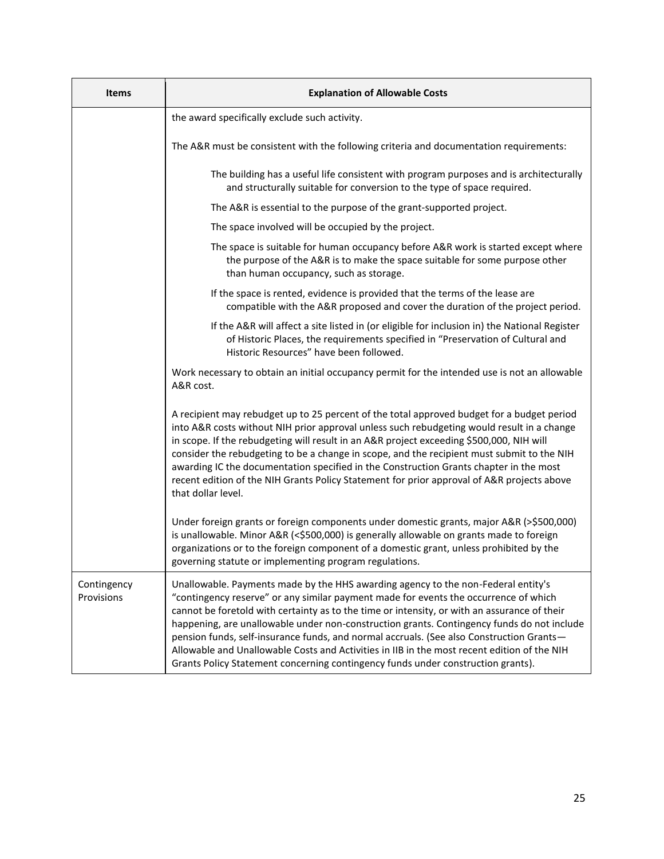| <b>Items</b>                                                                                                                                                                                                               | <b>Explanation of Allowable Costs</b>                                                                                                                                                                                                                                                                                                                                                                                                                                                                                                                                                                                                                  |  |  |
|----------------------------------------------------------------------------------------------------------------------------------------------------------------------------------------------------------------------------|--------------------------------------------------------------------------------------------------------------------------------------------------------------------------------------------------------------------------------------------------------------------------------------------------------------------------------------------------------------------------------------------------------------------------------------------------------------------------------------------------------------------------------------------------------------------------------------------------------------------------------------------------------|--|--|
|                                                                                                                                                                                                                            | the award specifically exclude such activity.                                                                                                                                                                                                                                                                                                                                                                                                                                                                                                                                                                                                          |  |  |
|                                                                                                                                                                                                                            | The A&R must be consistent with the following criteria and documentation requirements:                                                                                                                                                                                                                                                                                                                                                                                                                                                                                                                                                                 |  |  |
|                                                                                                                                                                                                                            | The building has a useful life consistent with program purposes and is architecturally<br>and structurally suitable for conversion to the type of space required.                                                                                                                                                                                                                                                                                                                                                                                                                                                                                      |  |  |
|                                                                                                                                                                                                                            | The A&R is essential to the purpose of the grant-supported project.                                                                                                                                                                                                                                                                                                                                                                                                                                                                                                                                                                                    |  |  |
|                                                                                                                                                                                                                            | The space involved will be occupied by the project.                                                                                                                                                                                                                                                                                                                                                                                                                                                                                                                                                                                                    |  |  |
|                                                                                                                                                                                                                            | The space is suitable for human occupancy before A&R work is started except where<br>the purpose of the A&R is to make the space suitable for some purpose other<br>than human occupancy, such as storage.                                                                                                                                                                                                                                                                                                                                                                                                                                             |  |  |
|                                                                                                                                                                                                                            | If the space is rented, evidence is provided that the terms of the lease are<br>compatible with the A&R proposed and cover the duration of the project period.                                                                                                                                                                                                                                                                                                                                                                                                                                                                                         |  |  |
| If the A&R will affect a site listed in (or eligible for inclusion in) the National Register<br>of Historic Places, the requirements specified in "Preservation of Cultural and<br>Historic Resources" have been followed. |                                                                                                                                                                                                                                                                                                                                                                                                                                                                                                                                                                                                                                                        |  |  |
|                                                                                                                                                                                                                            | Work necessary to obtain an initial occupancy permit for the intended use is not an allowable<br>A&R cost.                                                                                                                                                                                                                                                                                                                                                                                                                                                                                                                                             |  |  |
|                                                                                                                                                                                                                            | A recipient may rebudget up to 25 percent of the total approved budget for a budget period<br>into A&R costs without NIH prior approval unless such rebudgeting would result in a change<br>in scope. If the rebudgeting will result in an A&R project exceeding \$500,000, NIH will<br>consider the rebudgeting to be a change in scope, and the recipient must submit to the NIH<br>awarding IC the documentation specified in the Construction Grants chapter in the most<br>recent edition of the NIH Grants Policy Statement for prior approval of A&R projects above<br>that dollar level.                                                       |  |  |
|                                                                                                                                                                                                                            | Under foreign grants or foreign components under domestic grants, major A&R (>\$500,000)<br>is unallowable. Minor A&R (<\$500,000) is generally allowable on grants made to foreign<br>organizations or to the foreign component of a domestic grant, unless prohibited by the<br>governing statute or implementing program regulations.                                                                                                                                                                                                                                                                                                               |  |  |
| Contingency<br>Provisions                                                                                                                                                                                                  | Unallowable. Payments made by the HHS awarding agency to the non-Federal entity's<br>"contingency reserve" or any similar payment made for events the occurrence of which<br>cannot be foretold with certainty as to the time or intensity, or with an assurance of their<br>happening, are unallowable under non-construction grants. Contingency funds do not include<br>pension funds, self-insurance funds, and normal accruals. (See also Construction Grants-<br>Allowable and Unallowable Costs and Activities in IIB in the most recent edition of the NIH<br>Grants Policy Statement concerning contingency funds under construction grants). |  |  |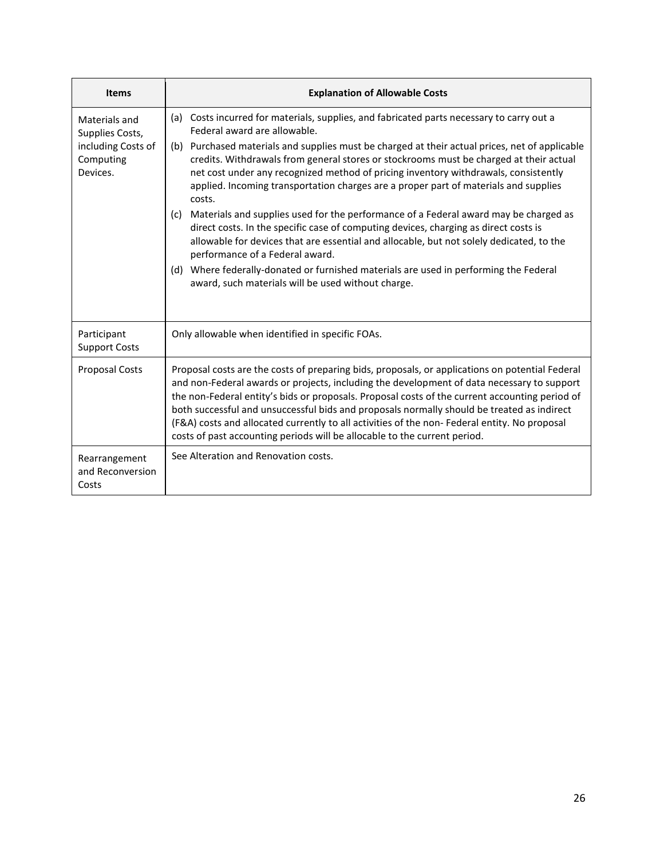| <b>Items</b>                                                                    | <b>Explanation of Allowable Costs</b>                                                                                                                                                                                                                                                                                                                                                                                                                                                                                                                                                                                                                                                                                                                                                                                                                                                                                                                                               |  |  |
|---------------------------------------------------------------------------------|-------------------------------------------------------------------------------------------------------------------------------------------------------------------------------------------------------------------------------------------------------------------------------------------------------------------------------------------------------------------------------------------------------------------------------------------------------------------------------------------------------------------------------------------------------------------------------------------------------------------------------------------------------------------------------------------------------------------------------------------------------------------------------------------------------------------------------------------------------------------------------------------------------------------------------------------------------------------------------------|--|--|
| Materials and<br>Supplies Costs,<br>including Costs of<br>Computing<br>Devices. | (a) Costs incurred for materials, supplies, and fabricated parts necessary to carry out a<br>Federal award are allowable.<br>(b) Purchased materials and supplies must be charged at their actual prices, net of applicable<br>credits. Withdrawals from general stores or stockrooms must be charged at their actual<br>net cost under any recognized method of pricing inventory withdrawals, consistently<br>applied. Incoming transportation charges are a proper part of materials and supplies<br>costs.<br>Materials and supplies used for the performance of a Federal award may be charged as<br>(c)<br>direct costs. In the specific case of computing devices, charging as direct costs is<br>allowable for devices that are essential and allocable, but not solely dedicated, to the<br>performance of a Federal award.<br>(d) Where federally-donated or furnished materials are used in performing the Federal<br>award, such materials will be used without charge. |  |  |
| Participant<br><b>Support Costs</b>                                             | Only allowable when identified in specific FOAs.                                                                                                                                                                                                                                                                                                                                                                                                                                                                                                                                                                                                                                                                                                                                                                                                                                                                                                                                    |  |  |
| <b>Proposal Costs</b>                                                           | Proposal costs are the costs of preparing bids, proposals, or applications on potential Federal<br>and non-Federal awards or projects, including the development of data necessary to support<br>the non-Federal entity's bids or proposals. Proposal costs of the current accounting period of<br>both successful and unsuccessful bids and proposals normally should be treated as indirect<br>(F&A) costs and allocated currently to all activities of the non- Federal entity. No proposal<br>costs of past accounting periods will be allocable to the current period.                                                                                                                                                                                                                                                                                                                                                                                                         |  |  |
| Rearrangement<br>and Reconversion<br>Costs                                      | See Alteration and Renovation costs.                                                                                                                                                                                                                                                                                                                                                                                                                                                                                                                                                                                                                                                                                                                                                                                                                                                                                                                                                |  |  |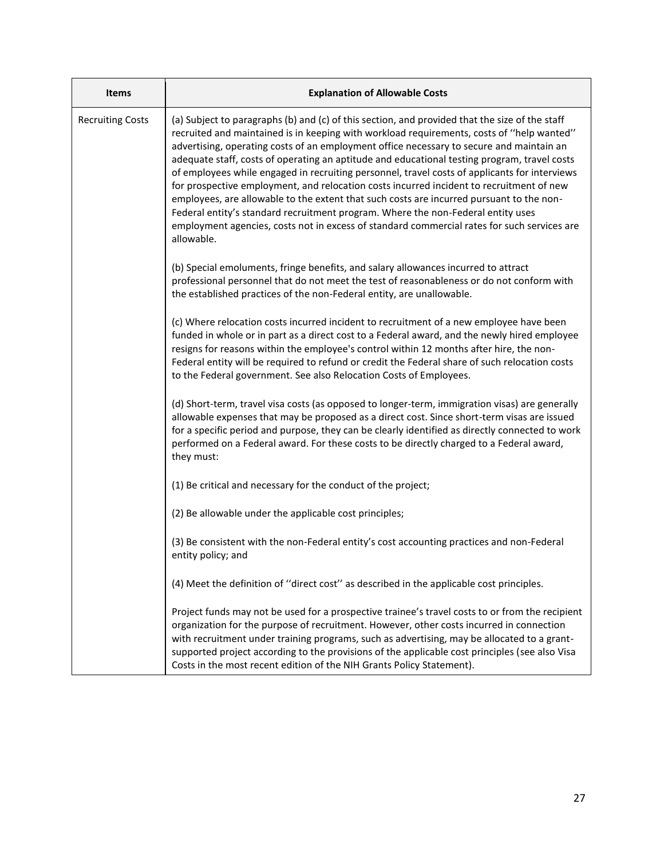| <b>Items</b>            | <b>Explanation of Allowable Costs</b>                                                                                                                                                                                                                                                                                                                                                                                                                                                                                                                                                                                                                                                                                                                                                                                                                                             |  |  |
|-------------------------|-----------------------------------------------------------------------------------------------------------------------------------------------------------------------------------------------------------------------------------------------------------------------------------------------------------------------------------------------------------------------------------------------------------------------------------------------------------------------------------------------------------------------------------------------------------------------------------------------------------------------------------------------------------------------------------------------------------------------------------------------------------------------------------------------------------------------------------------------------------------------------------|--|--|
| <b>Recruiting Costs</b> | (a) Subject to paragraphs (b) and (c) of this section, and provided that the size of the staff<br>recruited and maintained is in keeping with workload requirements, costs of "help wanted"<br>advertising, operating costs of an employment office necessary to secure and maintain an<br>adequate staff, costs of operating an aptitude and educational testing program, travel costs<br>of employees while engaged in recruiting personnel, travel costs of applicants for interviews<br>for prospective employment, and relocation costs incurred incident to recruitment of new<br>employees, are allowable to the extent that such costs are incurred pursuant to the non-<br>Federal entity's standard recruitment program. Where the non-Federal entity uses<br>employment agencies, costs not in excess of standard commercial rates for such services are<br>allowable. |  |  |
|                         | (b) Special emoluments, fringe benefits, and salary allowances incurred to attract<br>professional personnel that do not meet the test of reasonableness or do not conform with<br>the established practices of the non-Federal entity, are unallowable.                                                                                                                                                                                                                                                                                                                                                                                                                                                                                                                                                                                                                          |  |  |
|                         | (c) Where relocation costs incurred incident to recruitment of a new employee have been<br>funded in whole or in part as a direct cost to a Federal award, and the newly hired employee<br>resigns for reasons within the employee's control within 12 months after hire, the non-<br>Federal entity will be required to refund or credit the Federal share of such relocation costs<br>to the Federal government. See also Relocation Costs of Employees.                                                                                                                                                                                                                                                                                                                                                                                                                        |  |  |
|                         | (d) Short-term, travel visa costs (as opposed to longer-term, immigration visas) are generally<br>allowable expenses that may be proposed as a direct cost. Since short-term visas are issued<br>for a specific period and purpose, they can be clearly identified as directly connected to work<br>performed on a Federal award. For these costs to be directly charged to a Federal award,<br>they must:                                                                                                                                                                                                                                                                                                                                                                                                                                                                        |  |  |
|                         | (1) Be critical and necessary for the conduct of the project;                                                                                                                                                                                                                                                                                                                                                                                                                                                                                                                                                                                                                                                                                                                                                                                                                     |  |  |
|                         | (2) Be allowable under the applicable cost principles;                                                                                                                                                                                                                                                                                                                                                                                                                                                                                                                                                                                                                                                                                                                                                                                                                            |  |  |
|                         | (3) Be consistent with the non-Federal entity's cost accounting practices and non-Federal<br>entity policy; and                                                                                                                                                                                                                                                                                                                                                                                                                                                                                                                                                                                                                                                                                                                                                                   |  |  |
|                         | (4) Meet the definition of "direct cost" as described in the applicable cost principles.                                                                                                                                                                                                                                                                                                                                                                                                                                                                                                                                                                                                                                                                                                                                                                                          |  |  |
|                         | Project funds may not be used for a prospective trainee's travel costs to or from the recipient<br>organization for the purpose of recruitment. However, other costs incurred in connection<br>with recruitment under training programs, such as advertising, may be allocated to a grant-<br>supported project according to the provisions of the applicable cost principles (see also Visa<br>Costs in the most recent edition of the NIH Grants Policy Statement).                                                                                                                                                                                                                                                                                                                                                                                                             |  |  |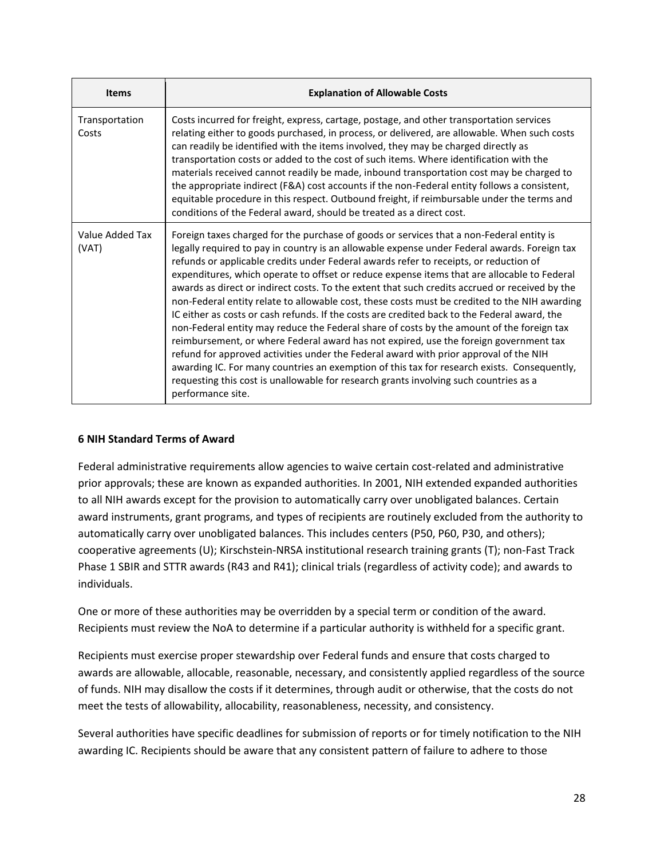| <b>Items</b>             | <b>Explanation of Allowable Costs</b>                                                                                                                                                                                                                                                                                                                                                                                                                                                                                                                                                                                                                                                                                                                                                                                                                                                                                                                                                                                                                                                                                                                                           |  |  |
|--------------------------|---------------------------------------------------------------------------------------------------------------------------------------------------------------------------------------------------------------------------------------------------------------------------------------------------------------------------------------------------------------------------------------------------------------------------------------------------------------------------------------------------------------------------------------------------------------------------------------------------------------------------------------------------------------------------------------------------------------------------------------------------------------------------------------------------------------------------------------------------------------------------------------------------------------------------------------------------------------------------------------------------------------------------------------------------------------------------------------------------------------------------------------------------------------------------------|--|--|
| Transportation<br>Costs  | Costs incurred for freight, express, cartage, postage, and other transportation services<br>relating either to goods purchased, in process, or delivered, are allowable. When such costs<br>can readily be identified with the items involved, they may be charged directly as<br>transportation costs or added to the cost of such items. Where identification with the<br>materials received cannot readily be made, inbound transportation cost may be charged to<br>the appropriate indirect (F&A) cost accounts if the non-Federal entity follows a consistent,<br>equitable procedure in this respect. Outbound freight, if reimbursable under the terms and<br>conditions of the Federal award, should be treated as a direct cost.                                                                                                                                                                                                                                                                                                                                                                                                                                      |  |  |
| Value Added Tax<br>(VAT) | Foreign taxes charged for the purchase of goods or services that a non-Federal entity is<br>legally required to pay in country is an allowable expense under Federal awards. Foreign tax<br>refunds or applicable credits under Federal awards refer to receipts, or reduction of<br>expenditures, which operate to offset or reduce expense items that are allocable to Federal<br>awards as direct or indirect costs. To the extent that such credits accrued or received by the<br>non-Federal entity relate to allowable cost, these costs must be credited to the NIH awarding<br>IC either as costs or cash refunds. If the costs are credited back to the Federal award, the<br>non-Federal entity may reduce the Federal share of costs by the amount of the foreign tax<br>reimbursement, or where Federal award has not expired, use the foreign government tax<br>refund for approved activities under the Federal award with prior approval of the NIH<br>awarding IC. For many countries an exemption of this tax for research exists. Consequently,<br>requesting this cost is unallowable for research grants involving such countries as a<br>performance site. |  |  |

#### **6 NIH Standard Terms of Award**

Federal administrative requirements allow agencies to waive certain cost-related and administrative prior approvals; these are known as expanded authorities. In 2001, NIH extended expanded authorities to all NIH awards except for the provision to automatically carry over unobligated balances. Certain award instruments, grant programs, and types of recipients are routinely excluded from the authority to automatically carry over unobligated balances. This includes centers (P50, P60, P30, and others); cooperative agreements (U); Kirschstein-NRSA institutional research training grants (T); non-Fast Track Phase 1 SBIR and STTR awards (R43 and R41); clinical trials (regardless of activity code); and awards to individuals.

One or more of these authorities may be overridden by a special term or condition of the award. Recipients must review the NoA to determine if a particular authority is withheld for a specific grant.

Recipients must exercise proper stewardship over Federal funds and ensure that costs charged to awards are allowable, allocable, reasonable, necessary, and consistently applied regardless of the source of funds. NIH may disallow the costs if it determines, through audit or otherwise, that the costs do not meet the tests of allowability, allocability, reasonableness, necessity, and consistency.

Several authorities have specific deadlines for submission of reports or for timely notification to the NIH awarding IC. Recipients should be aware that any consistent pattern of failure to adhere to those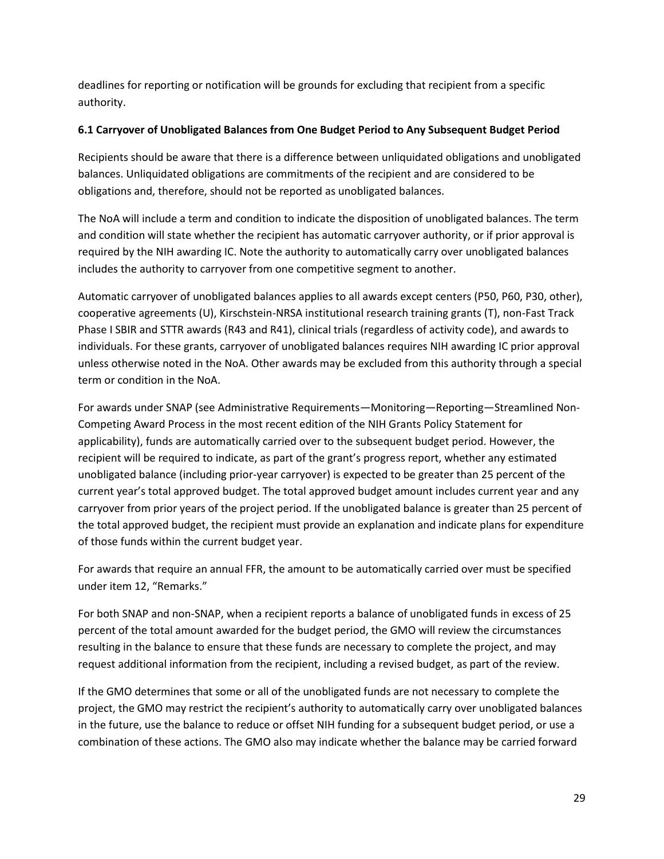deadlines for reporting or notification will be grounds for excluding that recipient from a specific authority.

## **6.1 Carryover of Unobligated Balances from One Budget Period to Any Subsequent Budget Period**

Recipients should be aware that there is a difference between unliquidated obligations and unobligated balances. Unliquidated obligations are commitments of the recipient and are considered to be obligations and, therefore, should not be reported as unobligated balances.

The NoA will include a term and condition to indicate the disposition of unobligated balances. The term and condition will state whether the recipient has automatic carryover authority, or if prior approval is required by the NIH awarding IC. Note the authority to automatically carry over unobligated balances includes the authority to carryover from one competitive segment to another.

Automatic carryover of unobligated balances applies to all awards except centers (P50, P60, P30, other), cooperative agreements (U), Kirschstein-NRSA institutional research training grants (T), non-Fast Track Phase I SBIR and STTR awards (R43 and R41), clinical trials (regardless of activity code), and awards to individuals. For these grants, carryover of unobligated balances requires NIH awarding IC prior approval unless otherwise noted in the NoA. Other awards may be excluded from this authority through a special term or condition in the NoA.

For awards under SNAP (see Administrative Requirements—Monitoring—Reporting—Streamlined Non-Competing Award Process in the most recent edition of the NIH Grants Policy Statement for applicability), funds are automatically carried over to the subsequent budget period. However, the recipient will be required to indicate, as part of the grant's progress report, whether any estimated unobligated balance (including prior-year carryover) is expected to be greater than 25 percent of the current year's total approved budget. The total approved budget amount includes current year and any carryover from prior years of the project period. If the unobligated balance is greater than 25 percent of the total approved budget, the recipient must provide an explanation and indicate plans for expenditure of those funds within the current budget year.

For awards that require an annual FFR, the amount to be automatically carried over must be specified under item 12, "Remarks."

For both SNAP and non-SNAP, when a recipient reports a balance of unobligated funds in excess of 25 percent of the total amount awarded for the budget period, the GMO will review the circumstances resulting in the balance to ensure that these funds are necessary to complete the project, and may request additional information from the recipient, including a revised budget, as part of the review.

If the GMO determines that some or all of the unobligated funds are not necessary to complete the project, the GMO may restrict the recipient's authority to automatically carry over unobligated balances in the future, use the balance to reduce or offset NIH funding for a subsequent budget period, or use a combination of these actions. The GMO also may indicate whether the balance may be carried forward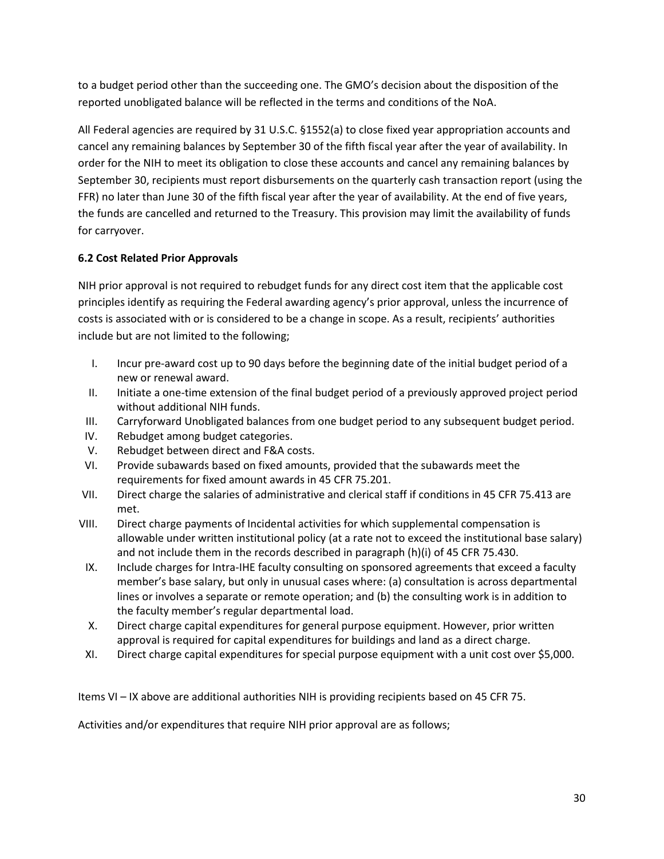to a budget period other than the succeeding one. The GMO's decision about the disposition of the reported unobligated balance will be reflected in the terms and conditions of the NoA.

All Federal agencies are required by 31 U.S.C. §1552(a) to close fixed year appropriation accounts and cancel any remaining balances by September 30 of the fifth fiscal year after the year of availability. In order for the NIH to meet its obligation to close these accounts and cancel any remaining balances by September 30, recipients must report disbursements on the quarterly cash transaction report (using the FFR) no later than June 30 of the fifth fiscal year after the year of availability. At the end of five years, the funds are cancelled and returned to the Treasury. This provision may limit the availability of funds for carryover.

## **6.2 Cost Related Prior Approvals**

NIH prior approval is not required to rebudget funds for any direct cost item that the applicable cost principles identify as requiring the Federal awarding agency's prior approval, unless the incurrence of costs is associated with or is considered to be a change in scope. As a result, recipients' authorities include but are not limited to the following;

- I. Incur pre-award cost up to 90 days before the beginning date of the initial budget period of a new or renewal award.
- II. Initiate a one-time extension of the final budget period of a previously approved project period without additional NIH funds.
- III. Carryforward Unobligated balances from one budget period to any subsequent budget period.
- IV. Rebudget among budget categories.
- V. Rebudget between direct and F&A costs.
- VI. Provide subawards based on fixed amounts, provided that the subawards meet the requirements for fixed amount awards in 45 CFR 75.201.
- VII. Direct charge the salaries of administrative and clerical staff if conditions in 45 CFR 75.413 are met.
- VIII. Direct charge payments of Incidental activities for which supplemental compensation is allowable under written institutional policy (at a rate not to exceed the institutional base salary) and not include them in the records described in paragraph (h)(i) of 45 CFR 75.430.
- IX. Include charges for Intra-IHE faculty consulting on sponsored agreements that exceed a faculty member's base salary, but only in unusual cases where: (a) consultation is across departmental lines or involves a separate or remote operation; and (b) the consulting work is in addition to the faculty member's regular departmental load.
- X. Direct charge capital expenditures for general purpose equipment. However, prior written approval is required for capital expenditures for buildings and land as a direct charge.
- XI. Direct charge capital expenditures for special purpose equipment with a unit cost over \$5,000.

Items VI – IX above are additional authorities NIH is providing recipients based on 45 CFR 75.

Activities and/or expenditures that require NIH prior approval are as follows;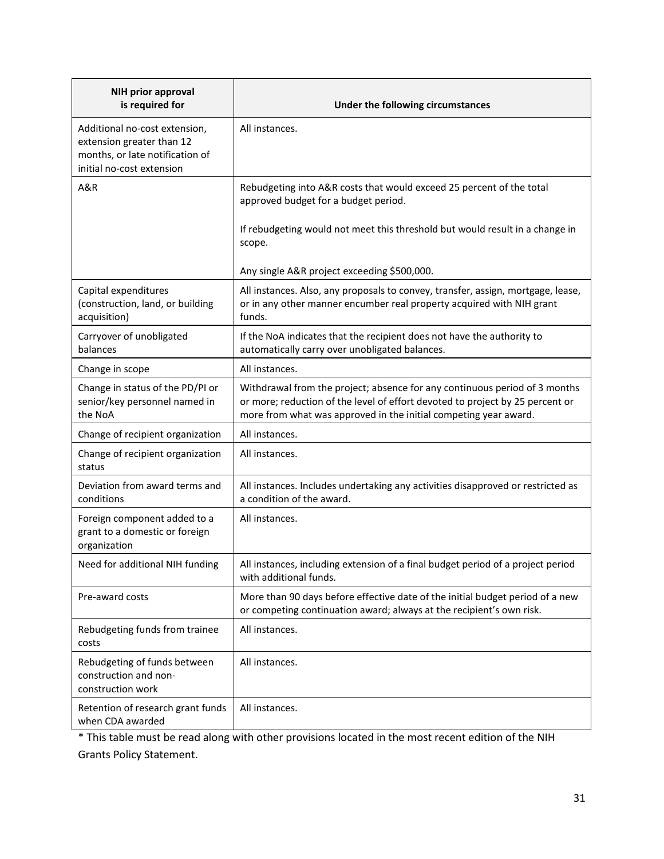| <b>NIH prior approval</b><br>is required for                                                                               | Under the following circumstances                                                                                                                                                                                               |
|----------------------------------------------------------------------------------------------------------------------------|---------------------------------------------------------------------------------------------------------------------------------------------------------------------------------------------------------------------------------|
| Additional no-cost extension,<br>extension greater than 12<br>months, or late notification of<br>initial no-cost extension | All instances.                                                                                                                                                                                                                  |
| A&R                                                                                                                        | Rebudgeting into A&R costs that would exceed 25 percent of the total<br>approved budget for a budget period.                                                                                                                    |
|                                                                                                                            | If rebudgeting would not meet this threshold but would result in a change in<br>scope.<br>Any single A&R project exceeding \$500,000.                                                                                           |
| Capital expenditures<br>(construction, land, or building<br>acquisition)                                                   | All instances. Also, any proposals to convey, transfer, assign, mortgage, lease,<br>or in any other manner encumber real property acquired with NIH grant<br>funds.                                                             |
| Carryover of unobligated<br>balances                                                                                       | If the NoA indicates that the recipient does not have the authority to<br>automatically carry over unobligated balances.                                                                                                        |
| Change in scope                                                                                                            | All instances.                                                                                                                                                                                                                  |
| Change in status of the PD/PI or<br>senior/key personnel named in<br>the NoA                                               | Withdrawal from the project; absence for any continuous period of 3 months<br>or more; reduction of the level of effort devoted to project by 25 percent or<br>more from what was approved in the initial competing year award. |
| Change of recipient organization                                                                                           | All instances.                                                                                                                                                                                                                  |
| Change of recipient organization<br>status                                                                                 | All instances.                                                                                                                                                                                                                  |
| Deviation from award terms and<br>conditions                                                                               | All instances. Includes undertaking any activities disapproved or restricted as<br>a condition of the award.                                                                                                                    |
| Foreign component added to a<br>grant to a domestic or foreign<br>organization                                             | All instances.                                                                                                                                                                                                                  |
| Need for additional NIH funding                                                                                            | All instances, including extension of a final budget period of a project period<br>with additional funds.                                                                                                                       |
| Pre-award costs                                                                                                            | More than 90 days before effective date of the initial budget period of a new<br>or competing continuation award; always at the recipient's own risk.                                                                           |
| Rebudgeting funds from trainee<br>costs                                                                                    | All instances.                                                                                                                                                                                                                  |
| Rebudgeting of funds between<br>construction and non-<br>construction work                                                 | All instances.                                                                                                                                                                                                                  |
| Retention of research grant funds<br>when CDA awarded                                                                      | All instances.                                                                                                                                                                                                                  |

\* This table must be read along with other provisions located in the most recent edition of the NIH Grants Policy Statement.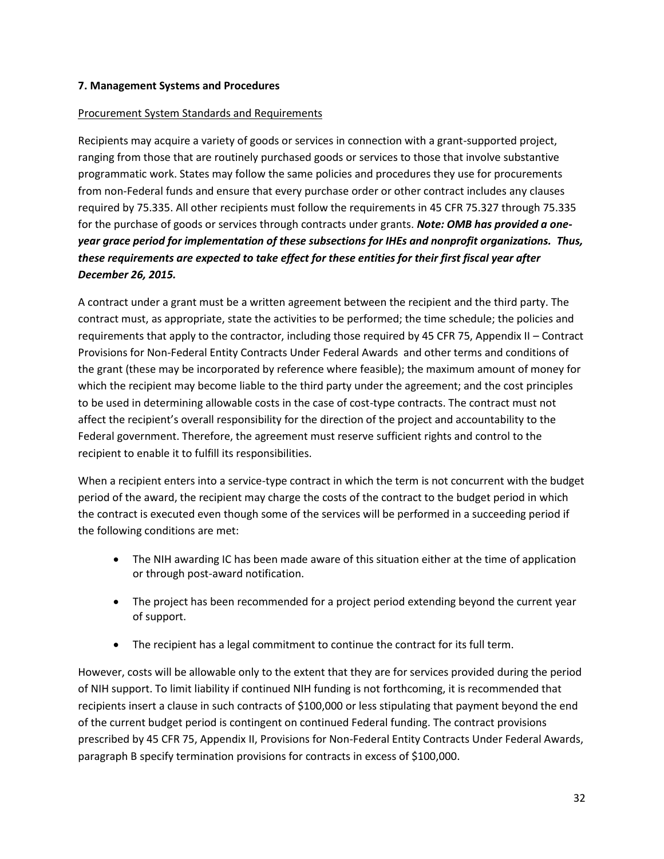## **7. Management Systems and Procedures**

## Procurement System Standards and Requirements

Recipients may acquire a variety of goods or services in connection with a grant-supported project, ranging from those that are routinely purchased goods or services to those that involve substantive programmatic work. States may follow the same policies and procedures they use for procurements from non-Federal funds and ensure that every purchase order or other contract includes any clauses required by 75.335. All other recipients must follow the requirements in 45 CFR 75.327 through 75.335 for the purchase of goods or services through contracts under grants. *Note: OMB has provided a oneyear grace period for implementation of these subsections for IHEs and nonprofit organizations. Thus, these requirements are expected to take effect for these entities for their first fiscal year after December 26, 2015.*

A contract under a grant must be a written agreement between the recipient and the third party. The contract must, as appropriate, state the activities to be performed; the time schedule; the policies and requirements that apply to the contractor, including those required by 45 CFR 75, Appendix II – Contract Provisions for Non-Federal Entity Contracts Under Federal Awards and other terms and conditions of the grant (these may be incorporated by reference where feasible); the maximum amount of money for which the recipient may become liable to the third party under the agreement; and the cost principles to be used in determining allowable costs in the case of cost-type contracts. The contract must not affect the recipient's overall responsibility for the direction of the project and accountability to the Federal government. Therefore, the agreement must reserve sufficient rights and control to the recipient to enable it to fulfill its responsibilities.

When a recipient enters into a service-type contract in which the term is not concurrent with the budget period of the award, the recipient may charge the costs of the contract to the budget period in which the contract is executed even though some of the services will be performed in a succeeding period if the following conditions are met:

- The NIH awarding IC has been made aware of this situation either at the time of application or through post-award notification.
- The project has been recommended for a project period extending beyond the current year of support.
- The recipient has a legal commitment to continue the contract for its full term.

However, costs will be allowable only to the extent that they are for services provided during the period of NIH support. To limit liability if continued NIH funding is not forthcoming, it is recommended that recipients insert a clause in such contracts of \$100,000 or less stipulating that payment beyond the end of the current budget period is contingent on continued Federal funding. The contract provisions prescribed by 45 CFR 75, Appendix II, Provisions for Non-Federal Entity Contracts Under Federal Awards, paragraph B specify termination provisions for contracts in excess of \$100,000.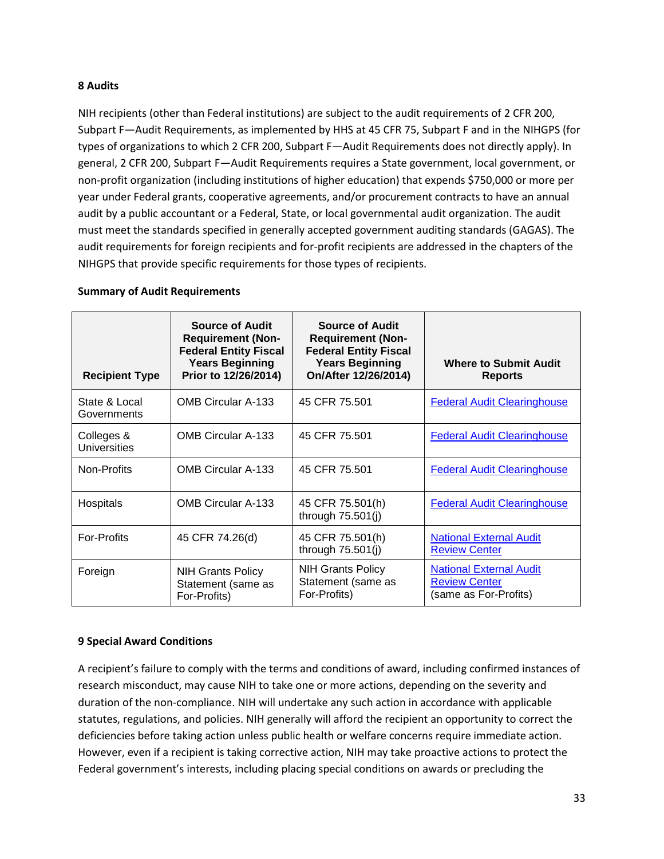#### **8 Audits**

NIH recipients (other than Federal institutions) are subject to the audit requirements of 2 CFR 200, Subpart F—Audit Requirements, as implemented by HHS at 45 CFR 75, Subpart F and in the NIHGPS (for types of organizations to which 2 CFR 200, Subpart F—Audit Requirements does not directly apply). In general, 2 CFR 200, Subpart F—Audit Requirements requires a State government, local government, or non-profit organization (including institutions of higher education) that expends \$750,000 or more per year under Federal grants, cooperative agreements, and/or procurement contracts to have an annual audit by a public accountant or a Federal, State, or local governmental audit organization. The audit must meet the standards specified in generally accepted government auditing standards (GAGAS). The audit requirements for foreign recipients and for-profit recipients are addressed in the chapters of the NIHGPS that provide specific requirements for those types of recipients.

| <b>Summary of Audit Requirements</b> |  |  |  |
|--------------------------------------|--|--|--|
|--------------------------------------|--|--|--|

| <b>Recipient Type</b>             | <b>Source of Audit</b><br><b>Requirement (Non-</b><br><b>Federal Entity Fiscal</b><br><b>Years Beginning</b><br>Prior to 12/26/2014) | <b>Source of Audit</b><br><b>Requirement (Non-</b><br><b>Federal Entity Fiscal</b><br><b>Years Beginning</b><br>On/After 12/26/2014) | <b>Where to Submit Audit</b><br><b>Reports</b>                                  |
|-----------------------------------|--------------------------------------------------------------------------------------------------------------------------------------|--------------------------------------------------------------------------------------------------------------------------------------|---------------------------------------------------------------------------------|
| State & Local<br>Governments      | <b>OMB Circular A-133</b>                                                                                                            | 45 CFR 75.501                                                                                                                        | <b>Federal Audit Clearinghouse</b>                                              |
| Colleges &<br><b>Universities</b> | <b>OMB Circular A-133</b>                                                                                                            | 45 CFR 75.501                                                                                                                        | <b>Federal Audit Clearinghouse</b>                                              |
| Non-Profits                       | <b>OMB Circular A-133</b>                                                                                                            | 45 CFR 75.501                                                                                                                        | <b>Federal Audit Clearinghouse</b>                                              |
| Hospitals                         | <b>OMB Circular A-133</b>                                                                                                            | 45 CFR 75.501(h)<br>through 75.501(j)                                                                                                | <b>Federal Audit Clearinghouse</b>                                              |
| <b>For-Profits</b>                | 45 CFR 74.26(d)                                                                                                                      | 45 CFR 75.501(h)<br>through 75.501(j)                                                                                                | <b>National External Audit</b><br><b>Review Center</b>                          |
| Foreign                           | <b>NIH Grants Policy</b><br>Statement (same as<br>For-Profits)                                                                       | <b>NIH Grants Policy</b><br>Statement (same as<br>For-Profits)                                                                       | <b>National External Audit</b><br><b>Review Center</b><br>(same as For-Profits) |

#### **9 Special Award Conditions**

A recipient's failure to comply with the terms and conditions of award, including confirmed instances of research misconduct, may cause NIH to take one or more actions, depending on the severity and duration of the non-compliance. NIH will undertake any such action in accordance with applicable statutes, regulations, and policies. NIH generally will afford the recipient an opportunity to correct the deficiencies before taking action unless public health or welfare concerns require immediate action. However, even if a recipient is taking corrective action, NIH may take proactive actions to protect the Federal government's interests, including placing special conditions on awards or precluding the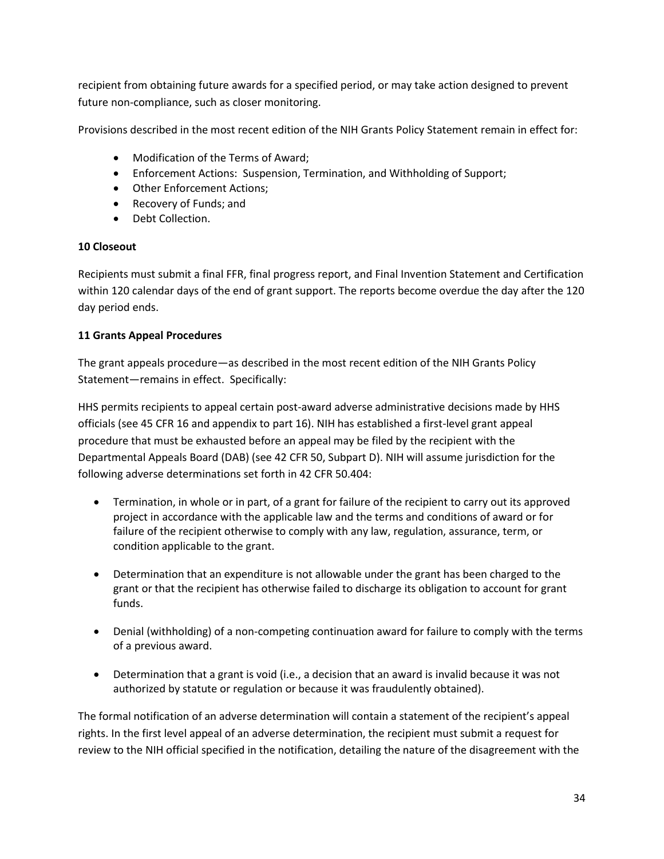recipient from obtaining future awards for a specified period, or may take action designed to prevent future non-compliance, such as closer monitoring.

Provisions described in the most recent edition of the NIH Grants Policy Statement remain in effect for:

- Modification of the Terms of Award;
- Enforcement Actions: Suspension, Termination, and Withholding of Support;
- Other Enforcement Actions;
- Recovery of Funds; and
- Debt Collection.

## **10 Closeout**

Recipients must submit a final FFR, final progress report, and Final Invention Statement and Certification within 120 calendar days of the end of grant support. The reports become overdue the day after the 120 day period ends.

## **11 Grants Appeal Procedures**

The grant appeals procedure—as described in the most recent edition of the NIH Grants Policy Statement—remains in effect. Specifically:

HHS permits recipients to appeal certain post-award adverse administrative decisions made by HHS officials (see 45 CFR 16 and appendix to part 16). NIH has established a first-level grant appeal procedure that must be exhausted before an appeal may be filed by the recipient with the Departmental Appeals Board (DAB) (see 42 CFR 50, Subpart D). NIH will assume jurisdiction for the following adverse determinations set forth in 42 CFR 50.404:

- Termination, in whole or in part, of a grant for failure of the recipient to carry out its approved project in accordance with the applicable law and the terms and conditions of award or for failure of the recipient otherwise to comply with any law, regulation, assurance, term, or condition applicable to the grant.
- Determination that an expenditure is not allowable under the grant has been charged to the grant or that the recipient has otherwise failed to discharge its obligation to account for grant funds.
- Denial (withholding) of a non-competing continuation award for failure to comply with the terms of a previous award.
- Determination that a grant is void (i.e., a decision that an award is invalid because it was not authorized by statute or regulation or because it was fraudulently obtained).

The formal notification of an adverse determination will contain a statement of the recipient's appeal rights. In the first level appeal of an adverse determination, the recipient must submit a request for review to the NIH official specified in the notification, detailing the nature of the disagreement with the